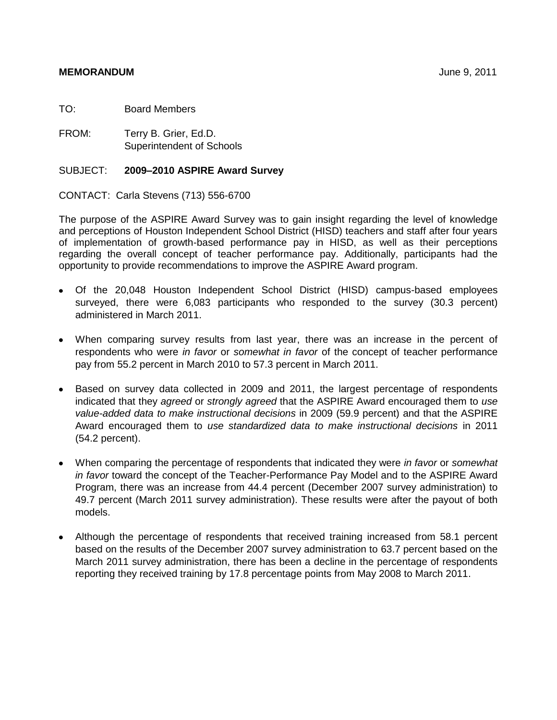## **MEMORANDUM** June 9, 2011

TO: Board Members

FROM: Terry B. Grier, Ed.D. Superintendent of Schools

SUBJECT: **2009–2010 ASPIRE Award Survey**

CONTACT: Carla Stevens (713) 556-6700

The purpose of the ASPIRE Award Survey was to gain insight regarding the level of knowledge and perceptions of Houston Independent School District (HISD) teachers and staff after four years of implementation of growth-based performance pay in HISD, as well as their perceptions regarding the overall concept of teacher performance pay. Additionally, participants had the opportunity to provide recommendations to improve the ASPIRE Award program.

- Of the 20,048 Houston Independent School District (HISD) campus-based employees surveyed, there were 6,083 participants who responded to the survey (30.3 percent) administered in March 2011.
- When comparing survey results from last year, there was an increase in the percent of respondents who were *in favor* or *somewhat in favor* of the concept of teacher performance pay from 55.2 percent in March 2010 to 57.3 percent in March 2011.
- Based on survey data collected in 2009 and 2011, the largest percentage of respondents indicated that they *agreed* or *strongly agreed* that the ASPIRE Award encouraged them to *use value-added data to make instructional decisions* in 2009 (59.9 percent) and that the ASPIRE Award encouraged them to *use standardized data to make instructional decisions* in 2011 (54.2 percent).
- When comparing the percentage of respondents that indicated they were *in favor* or *somewhat in favor* toward the concept of the Teacher-Performance Pay Model and to the ASPIRE Award Program, there was an increase from 44.4 percent (December 2007 survey administration) to 49.7 percent (March 2011 survey administration). These results were after the payout of both models.
- Although the percentage of respondents that received training increased from 58.1 percent based on the results of the December 2007 survey administration to 63.7 percent based on the March 2011 survey administration, there has been a decline in the percentage of respondents reporting they received training by 17.8 percentage points from May 2008 to March 2011.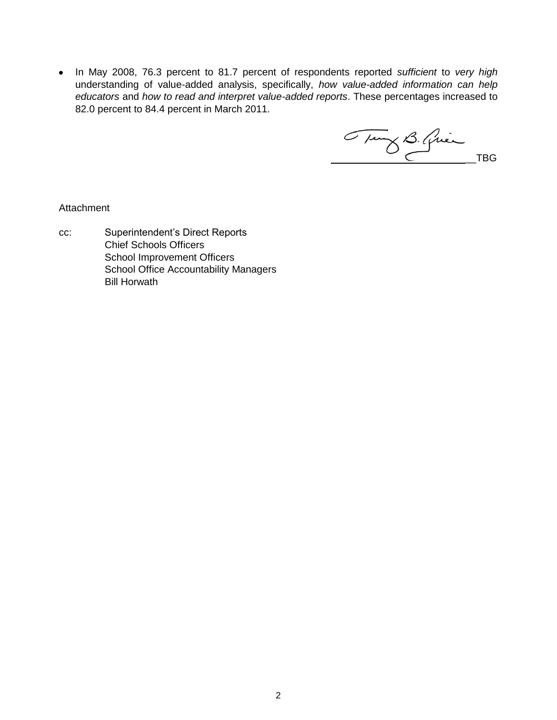In May 2008, 76.3 percent to 81.7 percent of respondents reported *sufficient* to *very high* understanding of value-added analysis, specifically, *how value-added information can help educators* and *how to read and interpret value-added reports*. These percentages increased to 82.0 percent to 84.4 percent in March 2011.

Tung B. Quinc

**Attachment** 

cc: Superintendent's Direct Reports Chief Schools Officers School Improvement Officers School Office Accountability Managers Bill Horwath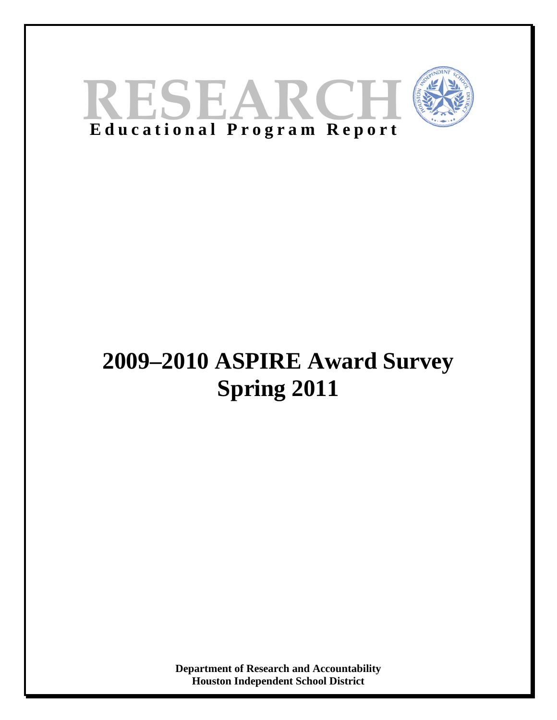

# **2009–2010 ASPIRE Award Survey Spring 2011**

**Department of Research and Accountability Houston Independent School District**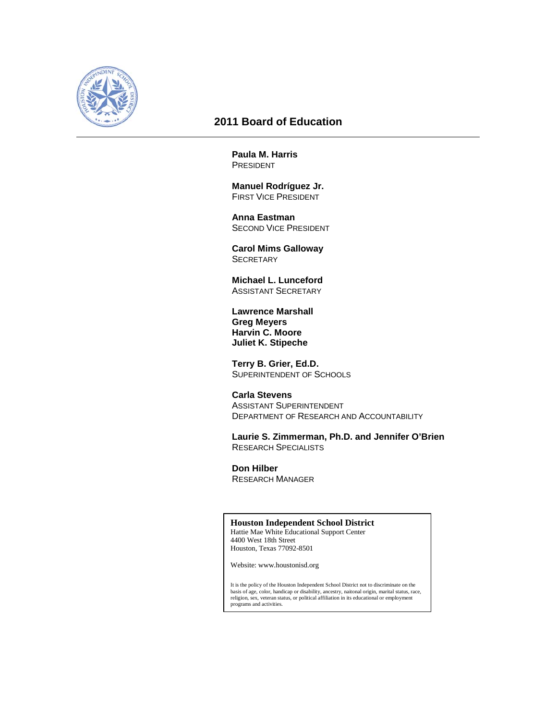

## **2011 Board of Education**

**Paula M. Harris** PRESIDENT

**Manuel Rodríguez Jr.** FIRST VICE PRESIDENT

**Anna Eastman** SECOND VICE PRESIDENT

**Carol Mims Galloway SECRETARY** 

**Michael L. Lunceford** ASSISTANT SECRETARY

**Lawrence Marshall Greg Meyers Harvin C. Moore Juliet K. Stipeche**

**Terry B. Grier, Ed.D.** SUPERINTENDENT OF SCHOOLS

**Carla Stevens** ASSISTANT SUPERINTENDENT DEPARTMENT OF RESEARCH AND ACCOUNTABILITY

**Laurie S. Zimmerman, Ph.D. and Jennifer O'Brien** RESEARCH SPECIALISTS

**Don Hilber** RESEARCH MANAGER

#### **Houston Independent School District**

Hattie Mae White Educational Support Center 4400 West 18th Street Houston, Texas 77092-8501

Website: www.houstonisd.org

It is the policy of the Houston Independent School District not to discriminate on the basis of age, color, handicap or disability, ancestry, naitonal origin, marital status, race, religion, sex, veteran status, or political affiliation in its educational or employment programs and activities.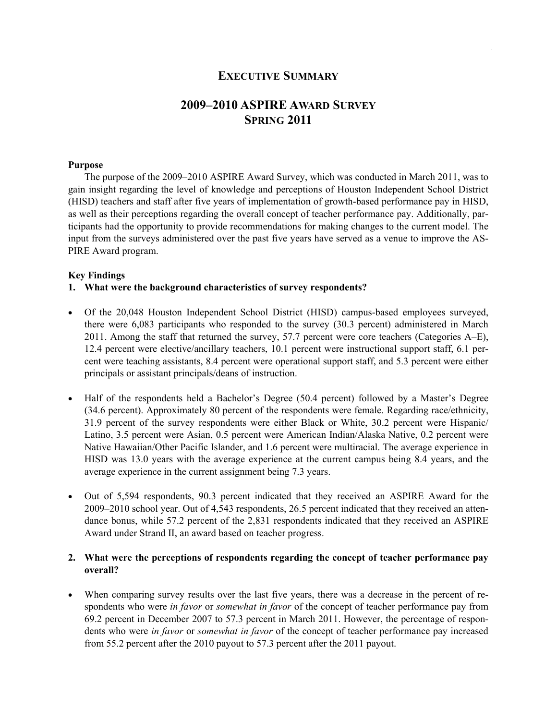## **EXECUTIVE SUMMARY**

# **2009–2010 ASPIRE AWARD SURVEY SPRING 2011**

## **Purpose**

The purpose of the 2009–2010 ASPIRE Award Survey, which was conducted in March 2011, was to gain insight regarding the level of knowledge and perceptions of Houston Independent School District (HISD) teachers and staff after five years of implementation of growth-based performance pay in HISD, as well as their perceptions regarding the overall concept of teacher performance pay. Additionally, participants had the opportunity to provide recommendations for making changes to the current model. The input from the surveys administered over the past five years have served as a venue to improve the AS-PIRE Award program.

## **Key Findings**

## **1. What were the background characteristics of survey respondents?**

- Of the 20,048 Houston Independent School District (HISD) campus-based employees surveyed, there were 6,083 participants who responded to the survey (30.3 percent) administered in March 2011. Among the staff that returned the survey, 57.7 percent were core teachers (Categories A–E), 12.4 percent were elective/ancillary teachers, 10.1 percent were instructional support staff, 6.1 percent were teaching assistants, 8.4 percent were operational support staff, and 5.3 percent were either principals or assistant principals/deans of instruction.
- Half of the respondents held a Bachelor's Degree (50.4 percent) followed by a Master's Degree (34.6 percent). Approximately 80 percent of the respondents were female. Regarding race/ethnicity, 31.9 percent of the survey respondents were either Black or White, 30.2 percent were Hispanic/ Latino, 3.5 percent were Asian, 0.5 percent were American Indian/Alaska Native, 0.2 percent were Native Hawaiian/Other Pacific Islander, and 1.6 percent were multiracial. The average experience in HISD was 13.0 years with the average experience at the current campus being 8.4 years, and the average experience in the current assignment being 7.3 years.
- Out of 5,594 respondents, 90.3 percent indicated that they received an ASPIRE Award for the 2009–2010 school year. Out of 4,543 respondents, 26.5 percent indicated that they received an attendance bonus, while 57.2 percent of the 2,831 respondents indicated that they received an ASPIRE Award under Strand II, an award based on teacher progress.

## **2. What were the perceptions of respondents regarding the concept of teacher performance pay overall?**

 When comparing survey results over the last five years, there was a decrease in the percent of respondents who were *in favor* or *somewhat in favor* of the concept of teacher performance pay from 69.2 percent in December 2007 to 57.3 percent in March 2011. However, the percentage of respondents who were *in favor* or *somewhat in favor* of the concept of teacher performance pay increased from 55.2 percent after the 2010 payout to 57.3 percent after the 2011 payout.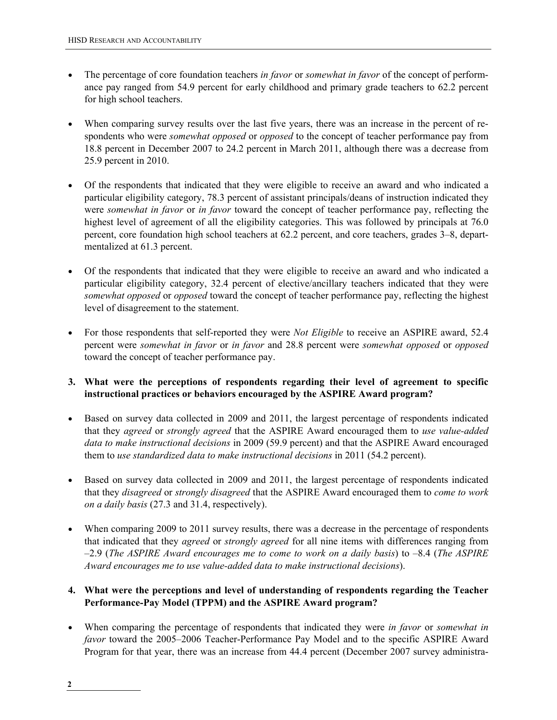- The percentage of core foundation teachers *in favor* or *somewhat in favor* of the concept of performance pay ranged from 54.9 percent for early childhood and primary grade teachers to 62.2 percent for high school teachers.
- When comparing survey results over the last five years, there was an increase in the percent of respondents who were *somewhat opposed* or *opposed* to the concept of teacher performance pay from 18.8 percent in December 2007 to 24.2 percent in March 2011, although there was a decrease from 25.9 percent in 2010.
- Of the respondents that indicated that they were eligible to receive an award and who indicated a particular eligibility category, 78.3 percent of assistant principals/deans of instruction indicated they were *somewhat in favor* or *in favor* toward the concept of teacher performance pay, reflecting the highest level of agreement of all the eligibility categories. This was followed by principals at 76.0 percent, core foundation high school teachers at 62.2 percent, and core teachers, grades 3–8, departmentalized at 61.3 percent.
- Of the respondents that indicated that they were eligible to receive an award and who indicated a particular eligibility category, 32.4 percent of elective/ancillary teachers indicated that they were *somewhat opposed* or *opposed* toward the concept of teacher performance pay, reflecting the highest level of disagreement to the statement.
- For those respondents that self-reported they were *Not Eligible* to receive an ASPIRE award, 52.4 percent were *somewhat in favor* or *in favor* and 28.8 percent were *somewhat opposed* or *opposed*  toward the concept of teacher performance pay.
- **3. What were the perceptions of respondents regarding their level of agreement to specific instructional practices or behaviors encouraged by the ASPIRE Award program?**
- Based on survey data collected in 2009 and 2011, the largest percentage of respondents indicated that they *agreed* or *strongly agreed* that the ASPIRE Award encouraged them to *use value-added data to make instructional decisions* in 2009 (59.9 percent) and that the ASPIRE Award encouraged them to *use standardized data to make instructional decisions* in 2011 (54.2 percent).
- Based on survey data collected in 2009 and 2011, the largest percentage of respondents indicated that they *disagreed* or *strongly disagreed* that the ASPIRE Award encouraged them to *come to work on a daily basis* (27.3 and 31.4, respectively).
- When comparing 2009 to 2011 survey results, there was a decrease in the percentage of respondents that indicated that they *agreed* or *strongly agreed* for all nine items with differences ranging from –2.9 (*The ASPIRE Award encourages me to come to work on a daily basis*) to –8.4 (*The ASPIRE Award encourages me to use value-added data to make instructional decisions*).

## **4. What were the perceptions and level of understanding of respondents regarding the Teacher Performance-Pay Model (TPPM) and the ASPIRE Award program?**

 When comparing the percentage of respondents that indicated they were *in favor* or *somewhat in favor* toward the 2005–2006 Teacher-Performance Pay Model and to the specific ASPIRE Award Program for that year, there was an increase from 44.4 percent (December 2007 survey administra-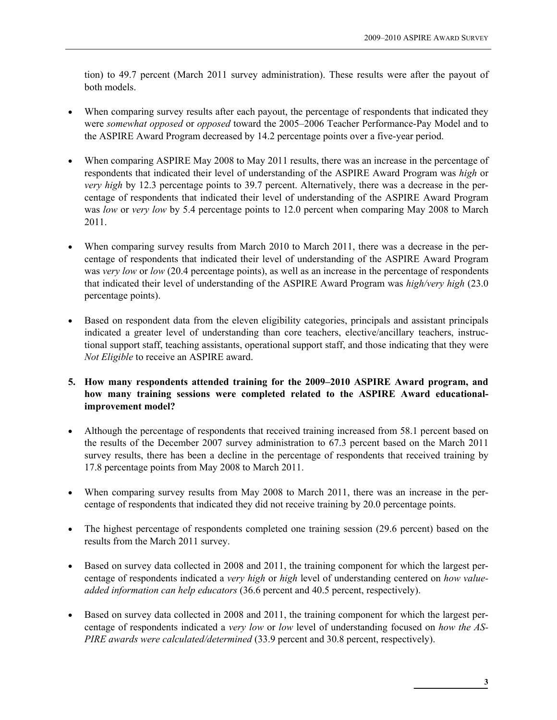tion) to 49.7 percent (March 2011 survey administration). These results were after the payout of both models.

- When comparing survey results after each payout, the percentage of respondents that indicated they were *somewhat opposed* or *opposed* toward the 2005–2006 Teacher Performance-Pay Model and to the ASPIRE Award Program decreased by 14.2 percentage points over a five-year period.
- When comparing ASPIRE May 2008 to May 2011 results, there was an increase in the percentage of respondents that indicated their level of understanding of the ASPIRE Award Program was *high* or *very high* by 12.3 percentage points to 39.7 percent. Alternatively, there was a decrease in the percentage of respondents that indicated their level of understanding of the ASPIRE Award Program was *low* or *very low* by 5.4 percentage points to 12.0 percent when comparing May 2008 to March 2011.
- When comparing survey results from March 2010 to March 2011, there was a decrease in the percentage of respondents that indicated their level of understanding of the ASPIRE Award Program was *very low* or *low* (20.4 percentage points), as well as an increase in the percentage of respondents that indicated their level of understanding of the ASPIRE Award Program was *high/very high* (23.0 percentage points).
- Based on respondent data from the eleven eligibility categories, principals and assistant principals indicated a greater level of understanding than core teachers, elective/ancillary teachers, instructional support staff, teaching assistants, operational support staff, and those indicating that they were *Not Eligible* to receive an ASPIRE award.
- **5. How many respondents attended training for the 2009–2010 ASPIRE Award program, and how many training sessions were completed related to the ASPIRE Award educationalimprovement model?**
- Although the percentage of respondents that received training increased from 58.1 percent based on the results of the December 2007 survey administration to 67.3 percent based on the March 2011 survey results, there has been a decline in the percentage of respondents that received training by 17.8 percentage points from May 2008 to March 2011.
- When comparing survey results from May 2008 to March 2011, there was an increase in the percentage of respondents that indicated they did not receive training by 20.0 percentage points.
- The highest percentage of respondents completed one training session (29.6 percent) based on the results from the March 2011 survey.
- Based on survey data collected in 2008 and 2011, the training component for which the largest percentage of respondents indicated a *very high* or *high* level of understanding centered on *how valueadded information can help educators* (36.6 percent and 40.5 percent, respectively).
- Based on survey data collected in 2008 and 2011, the training component for which the largest percentage of respondents indicated a *very low* or *low* level of understanding focused on *how the AS-PIRE awards were calculated/determined* (33.9 percent and 30.8 percent, respectively).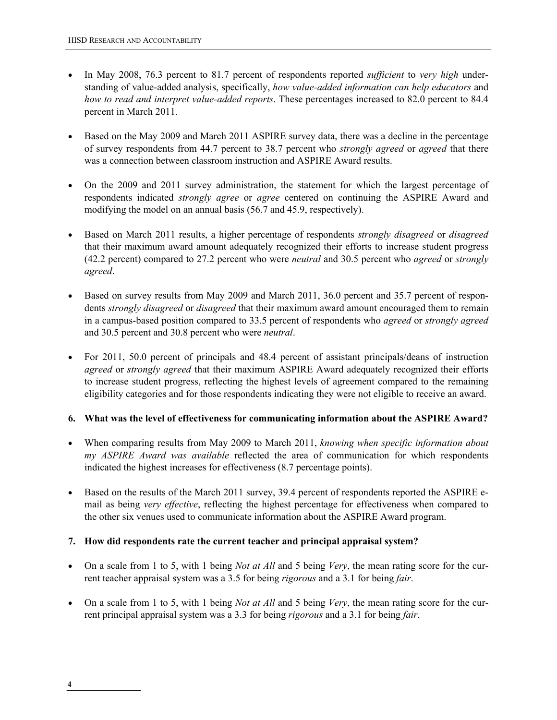- In May 2008, 76.3 percent to 81.7 percent of respondents reported *sufficient* to *very high* understanding of value-added analysis, specifically, *how value-added information can help educators* and *how to read and interpret value-added reports*. These percentages increased to 82.0 percent to 84.4 percent in March 2011.
- Based on the May 2009 and March 2011 ASPIRE survey data, there was a decline in the percentage of survey respondents from 44.7 percent to 38.7 percent who *strongly agreed* or *agreed* that there was a connection between classroom instruction and ASPIRE Award results.
- On the 2009 and 2011 survey administration, the statement for which the largest percentage of respondents indicated *strongly agree* or *agree* centered on continuing the ASPIRE Award and modifying the model on an annual basis (56.7 and 45.9, respectively).
- Based on March 2011 results, a higher percentage of respondents *strongly disagreed* or *disagreed*  that their maximum award amount adequately recognized their efforts to increase student progress (42.2 percent) compared to 27.2 percent who were *neutral* and 30.5 percent who *agreed* or *strongly agreed*.
- Based on survey results from May 2009 and March 2011, 36.0 percent and 35.7 percent of respondents *strongly disagreed* or *disagreed* that their maximum award amount encouraged them to remain in a campus-based position compared to 33.5 percent of respondents who *agreed* or *strongly agreed*  and 30.5 percent and 30.8 percent who were *neutral*.
- For 2011, 50.0 percent of principals and 48.4 percent of assistant principals/deans of instruction *agreed* or *strongly agreed* that their maximum ASPIRE Award adequately recognized their efforts to increase student progress, reflecting the highest levels of agreement compared to the remaining eligibility categories and for those respondents indicating they were not eligible to receive an award.

## **6. What was the level of effectiveness for communicating information about the ASPIRE Award?**

- When comparing results from May 2009 to March 2011, *knowing when specific information about my ASPIRE Award was available* reflected the area of communication for which respondents indicated the highest increases for effectiveness (8.7 percentage points).
- Based on the results of the March 2011 survey, 39.4 percent of respondents reported the ASPIRE email as being *very effective*, reflecting the highest percentage for effectiveness when compared to the other six venues used to communicate information about the ASPIRE Award program.

#### **7. How did respondents rate the current teacher and principal appraisal system?**

- On a scale from 1 to 5, with 1 being *Not at All* and 5 being *Very*, the mean rating score for the current teacher appraisal system was a 3.5 for being *rigorous* and a 3.1 for being *fair*.
- On a scale from 1 to 5, with 1 being *Not at All* and 5 being *Very*, the mean rating score for the current principal appraisal system was a 3.3 for being *rigorous* and a 3.1 for being *fair*.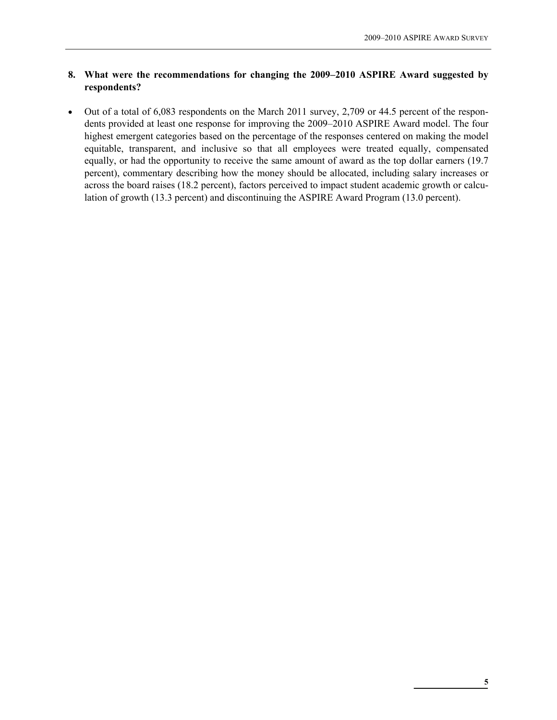## **8. What were the recommendations for changing the 2009–2010 ASPIRE Award suggested by respondents?**

 Out of a total of 6,083 respondents on the March 2011 survey, 2,709 or 44.5 percent of the respondents provided at least one response for improving the 2009–2010 ASPIRE Award model. The four highest emergent categories based on the percentage of the responses centered on making the model equitable, transparent, and inclusive so that all employees were treated equally, compensated equally, or had the opportunity to receive the same amount of award as the top dollar earners (19.7 percent), commentary describing how the money should be allocated, including salary increases or across the board raises (18.2 percent), factors perceived to impact student academic growth or calculation of growth (13.3 percent) and discontinuing the ASPIRE Award Program (13.0 percent).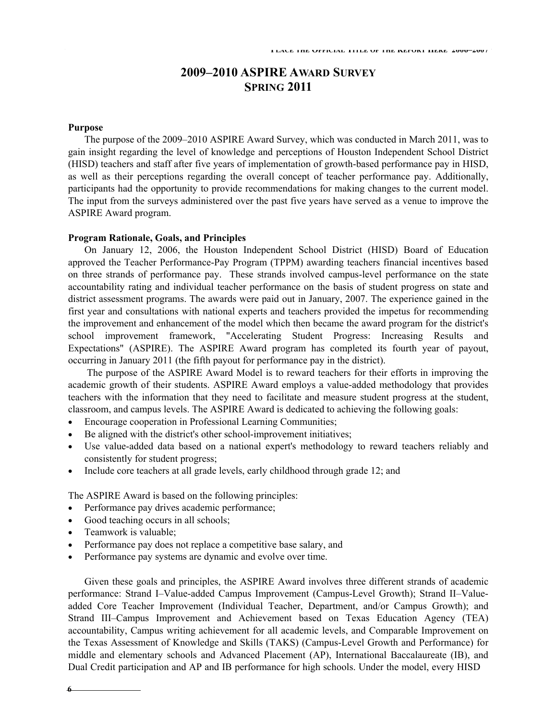# **2009–2010 ASPIRE AWARD SURVEY SPRING 2011**

#### **Purpose**

The purpose of the 2009–2010 ASPIRE Award Survey, which was conducted in March 2011, was to gain insight regarding the level of knowledge and perceptions of Houston Independent School District (HISD) teachers and staff after five years of implementation of growth-based performance pay in HISD, as well as their perceptions regarding the overall concept of teacher performance pay. Additionally, participants had the opportunity to provide recommendations for making changes to the current model. The input from the surveys administered over the past five years have served as a venue to improve the ASPIRE Award program.

#### **Program Rationale, Goals, and Principles**

On January 12, 2006, the Houston Independent School District (HISD) Board of Education approved the Teacher Performance-Pay Program (TPPM) awarding teachers financial incentives based on three strands of performance pay. These strands involved campus-level performance on the state accountability rating and individual teacher performance on the basis of student progress on state and district assessment programs. The awards were paid out in January, 2007. The experience gained in the first year and consultations with national experts and teachers provided the impetus for recommending the improvement and enhancement of the model which then became the award program for the district's school improvement framework, "Accelerating Student Progress: Increasing Results and Expectations" (ASPIRE). The ASPIRE Award program has completed its fourth year of payout, occurring in January 2011 (the fifth payout for performance pay in the district).

 The purpose of the ASPIRE Award Model is to reward teachers for their efforts in improving the academic growth of their students. ASPIRE Award employs a value-added methodology that provides teachers with the information that they need to facilitate and measure student progress at the student, classroom, and campus levels. The ASPIRE Award is dedicated to achieving the following goals:

- Encourage cooperation in Professional Learning Communities;
- Be aligned with the district's other school-improvement initiatives;
- Use value-added data based on a national expert's methodology to reward teachers reliably and consistently for student progress;
- Include core teachers at all grade levels, early childhood through grade 12; and

The ASPIRE Award is based on the following principles:

- Performance pay drives academic performance;
- Good teaching occurs in all schools;
- Teamwork is valuable;
- Performance pay does not replace a competitive base salary, and
- Performance pay systems are dynamic and evolve over time.

Given these goals and principles, the ASPIRE Award involves three different strands of academic performance: Strand I–Value-added Campus Improvement (Campus-Level Growth); Strand II–Valueadded Core Teacher Improvement (Individual Teacher, Department, and/or Campus Growth); and Strand III–Campus Improvement and Achievement based on Texas Education Agency (TEA) accountability, Campus writing achievement for all academic levels, and Comparable Improvement on the Texas Assessment of Knowledge and Skills (TAKS) (Campus-Level Growth and Performance) for middle and elementary schools and Advanced Placement (AP), International Baccalaureate (IB), and Dual Credit participation and AP and IB performance for high schools. Under the model, every HISD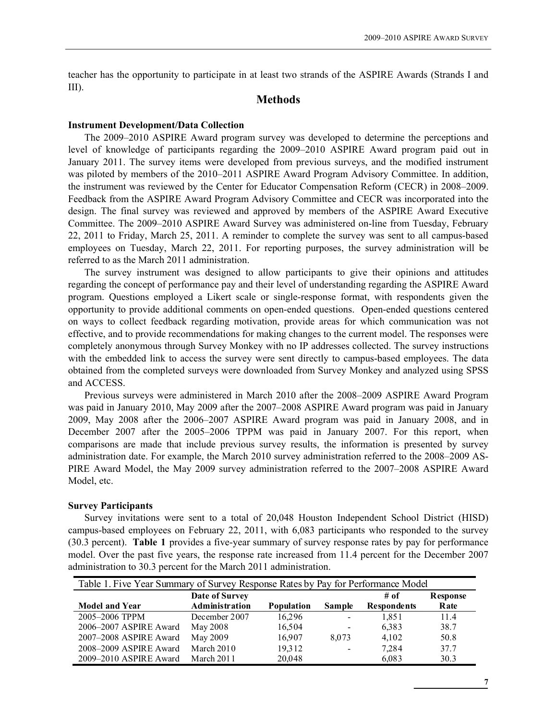teacher has the opportunity to participate in at least two strands of the ASPIRE Awards (Strands I and III).

## **Methods**

#### **Instrument Development/Data Collection**

The 2009–2010 ASPIRE Award program survey was developed to determine the perceptions and level of knowledge of participants regarding the 2009–2010 ASPIRE Award program paid out in January 2011. The survey items were developed from previous surveys, and the modified instrument was piloted by members of the 2010–2011 ASPIRE Award Program Advisory Committee. In addition, the instrument was reviewed by the Center for Educator Compensation Reform (CECR) in 2008–2009. Feedback from the ASPIRE Award Program Advisory Committee and CECR was incorporated into the design. The final survey was reviewed and approved by members of the ASPIRE Award Executive Committee. The 2009–2010 ASPIRE Award Survey was administered on-line from Tuesday, February 22, 2011 to Friday, March 25, 2011. A reminder to complete the survey was sent to all campus-based employees on Tuesday, March 22, 2011. For reporting purposes, the survey administration will be referred to as the March 2011 administration.

The survey instrument was designed to allow participants to give their opinions and attitudes regarding the concept of performance pay and their level of understanding regarding the ASPIRE Award program. Questions employed a Likert scale or single-response format, with respondents given the opportunity to provide additional comments on open-ended questions. Open-ended questions centered on ways to collect feedback regarding motivation, provide areas for which communication was not effective, and to provide recommendations for making changes to the current model. The responses were completely anonymous through Survey Monkey with no IP addresses collected. The survey instructions with the embedded link to access the survey were sent directly to campus-based employees. The data obtained from the completed surveys were downloaded from Survey Monkey and analyzed using SPSS and ACCESS.

Previous surveys were administered in March 2010 after the 2008–2009 ASPIRE Award Program was paid in January 2010, May 2009 after the 2007–2008 ASPIRE Award program was paid in January 2009, May 2008 after the 2006–2007 ASPIRE Award program was paid in January 2008, and in December 2007 after the 2005–2006 TPPM was paid in January 2007. For this report, when comparisons are made that include previous survey results, the information is presented by survey administration date. For example, the March 2010 survey administration referred to the 2008–2009 AS-PIRE Award Model, the May 2009 survey administration referred to the 2007–2008 ASPIRE Award Model, etc.

#### **Survey Participants**

Survey invitations were sent to a total of 20,048 Houston Independent School District (HISD) campus-based employees on February 22, 2011, with 6,083 participants who responded to the survey (30.3 percent). **Table 1** provides a five-year summary of survey response rates by pay for performance model. Over the past five years, the response rate increased from 11.4 percent for the December 2007 administration to 30.3 percent for the March 2011 administration.

| Table 1. Five Year Summary of Survey Response Rates by Pay for Performance Model |                       |            |                          |                    |          |  |  |  |
|----------------------------------------------------------------------------------|-----------------------|------------|--------------------------|--------------------|----------|--|--|--|
|                                                                                  | Date of Survey        |            |                          | # of               | Response |  |  |  |
| <b>Model and Year</b>                                                            | <b>Administration</b> | Population | <b>Sample</b>            | <b>Respondents</b> | Rate     |  |  |  |
| 2005-2006 TPPM                                                                   | December 2007         | 16,296     |                          | 1.851              | 11.4     |  |  |  |
| 2006-2007 ASPIRE Award                                                           | May 2008              | 16,504     | $\overline{\phantom{a}}$ | 6,383              | 38.7     |  |  |  |
| 2007-2008 ASPIRE Award                                                           | May 2009              | 16.907     | 8.073                    | 4.102              | 50.8     |  |  |  |
| 2008-2009 ASPIRE Award                                                           | March 2010            | 19,312     | $\,$                     | 7,284              | 37.7     |  |  |  |
| 2009–2010 ASPIRE Award                                                           | March 2011            | 20.048     |                          | 6.083              | 30.3     |  |  |  |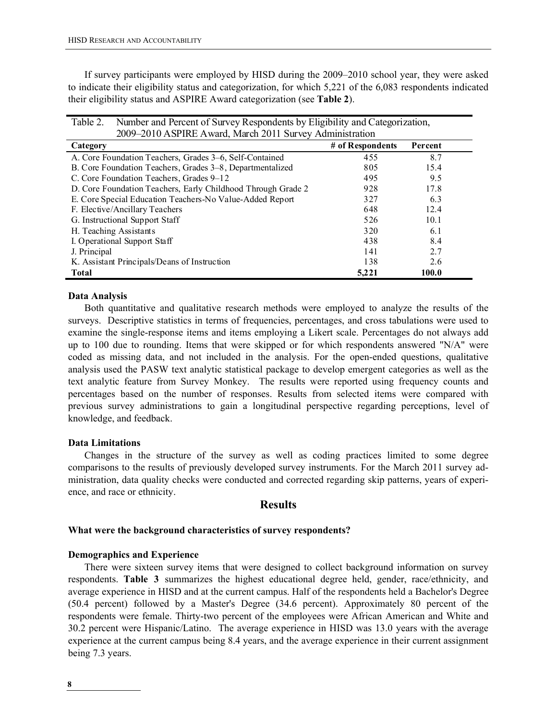If survey participants were employed by HISD during the 2009–2010 school year, they were asked to indicate their eligibility status and categorization, for which 5,221 of the 6,083 respondents indicated their eligibility status and ASPIRE Award categorization (see **Table 2**).

| Table 2.                                                     | Number and Percent of Survey Respondents by Eligibility and Categorization, |         |  |  |  |  |  |  |
|--------------------------------------------------------------|-----------------------------------------------------------------------------|---------|--|--|--|--|--|--|
| 2009–2010 ASPIRE Award, March 2011 Survey Administration     |                                                                             |         |  |  |  |  |  |  |
| Category                                                     | # of Respondents                                                            | Percent |  |  |  |  |  |  |
| A. Core Foundation Teachers, Grades 3–6, Self-Contained      | 455                                                                         | 8.7     |  |  |  |  |  |  |
| B. Core Foundation Teachers, Grades 3–8, Departmentalized    | 805                                                                         | 15.4    |  |  |  |  |  |  |
| C. Core Foundation Teachers, Grades 9–12                     | 495                                                                         | 9.5     |  |  |  |  |  |  |
| D. Core Foundation Teachers, Early Childhood Through Grade 2 | 928                                                                         | 17.8    |  |  |  |  |  |  |
| E. Core Special Education Teachers-No Value-Added Report     | 327                                                                         | 6.3     |  |  |  |  |  |  |
| F. Elective/Ancillary Teachers                               | 648                                                                         | 12.4    |  |  |  |  |  |  |
| G. Instructional Support Staff                               | 526                                                                         | 10.1    |  |  |  |  |  |  |
| H. Teaching Assistants                                       | 320                                                                         | 6.1     |  |  |  |  |  |  |
| I. Operational Support Staff                                 | 8.4                                                                         |         |  |  |  |  |  |  |
| 141<br>2.7<br>J. Principal                                   |                                                                             |         |  |  |  |  |  |  |
| K. Assistant Principals/Deans of Instruction                 | 138                                                                         | 2.6     |  |  |  |  |  |  |
| <b>Total</b>                                                 | 5.221                                                                       | 100.0   |  |  |  |  |  |  |

#### **Data Analysis**

Both quantitative and qualitative research methods were employed to analyze the results of the surveys. Descriptive statistics in terms of frequencies, percentages, and cross tabulations were used to examine the single-response items and items employing a Likert scale. Percentages do not always add up to 100 due to rounding. Items that were skipped or for which respondents answered "N/A" were coded as missing data, and not included in the analysis. For the open-ended questions, qualitative analysis used the PASW text analytic statistical package to develop emergent categories as well as the text analytic feature from Survey Monkey. The results were reported using frequency counts and percentages based on the number of responses. Results from selected items were compared with previous survey administrations to gain a longitudinal perspective regarding perceptions, level of knowledge, and feedback.

#### **Data Limitations**

Changes in the structure of the survey as well as coding practices limited to some degree comparisons to the results of previously developed survey instruments. For the March 2011 survey administration, data quality checks were conducted and corrected regarding skip patterns, years of experience, and race or ethnicity.

## **Results**

#### **What were the background characteristics of survey respondents?**

#### **Demographics and Experience**

There were sixteen survey items that were designed to collect background information on survey respondents. **Table 3** summarizes the highest educational degree held, gender, race/ethnicity, and average experience in HISD and at the current campus. Half of the respondents held a Bachelor's Degree (50.4 percent) followed by a Master's Degree (34.6 percent). Approximately 80 percent of the respondents were female. Thirty-two percent of the employees were African American and White and 30.2 percent were Hispanic/Latino. The average experience in HISD was 13.0 years with the average experience at the current campus being 8.4 years, and the average experience in their current assignment being 7.3 years.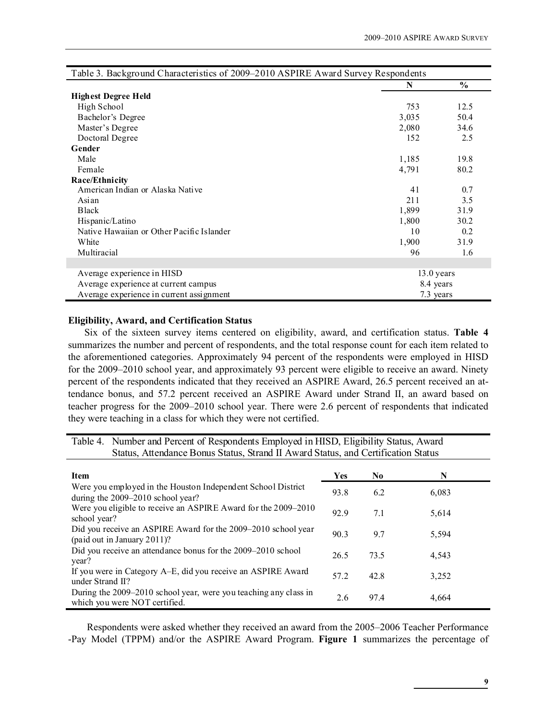| Table 3. Background Characteristics of 2009–2010 ASPIRE Award Survey Respondents |              |               |
|----------------------------------------------------------------------------------|--------------|---------------|
|                                                                                  | N            | $\frac{6}{6}$ |
| <b>Highest Degree Held</b>                                                       |              |               |
| High School                                                                      | 753          | 12.5          |
| Bachelor's Degree                                                                | 3,035        | 50.4          |
| Master's Degree                                                                  | 2,080        | 34.6          |
| Doctoral Degree                                                                  | 152          | 2.5           |
| Gender                                                                           |              |               |
| Male                                                                             | 1,185        | 19.8          |
| Female                                                                           | 4,791        | 80.2          |
| Race/Ethnicity                                                                   |              |               |
| American Indian or Alaska Native                                                 | 41           | 0.7           |
| Asian                                                                            | 211          | 3.5           |
| <b>Black</b>                                                                     | 1,899        | 31.9          |
| Hispanic/Latino                                                                  | 1,800        | 30.2          |
| Native Hawaiian or Other Pacific Islander                                        | 10           | 0.2           |
| White                                                                            | 1,900        | 31.9          |
| Multiracial                                                                      | 96           | 1.6           |
|                                                                                  |              |               |
| Average experience in HISD                                                       | $13.0$ years |               |
| Average experience at current campus                                             | 8.4 years    |               |
| Average experience in current assignment                                         | 7.3 years    |               |

#### **Eligibility, Award, and Certification Status**

Six of the sixteen survey items centered on eligibility, award, and certification status. **Table 4**  summarizes the number and percent of respondents, and the total response count for each item related to the aforementioned categories. Approximately 94 percent of the respondents were employed in HISD for the 2009–2010 school year, and approximately 93 percent were eligible to receive an award. Ninety percent of the respondents indicated that they received an ASPIRE Award, 26.5 percent received an attendance bonus, and 57.2 percent received an ASPIRE Award under Strand II, an award based on teacher progress for the 2009–2010 school year. There were 2.6 percent of respondents that indicated they were teaching in a class for which they were not certified.

Table 4. Number and Percent of Respondents Employed in HISD, Eligibility Status, Award Status, Attendance Bonus Status, Strand II Award Status, and Certification Status

| <b>Item</b>                                                                                       | <b>Yes</b> | N <sub>0</sub> | N     |
|---------------------------------------------------------------------------------------------------|------------|----------------|-------|
| Were you employed in the Houston Independent School District<br>during the 2009–2010 school year? | 93.8       | 6.2            | 6,083 |
| Were you eligible to receive an ASPIRE Award for the 2009-2010<br>school year?                    | 92.9       | 7.1            | 5,614 |
| Did you receive an ASPIRE Award for the 2009–2010 school year<br>(paid out in January 2011)?      | 90.3       | 9.7            | 5,594 |
| Did you receive an attendance bonus for the 2009–2010 school<br>year?                             | 26.5       | 73.5           | 4,543 |
| If you were in Category A–E, did you receive an ASPIRE Award<br>under Strand II?                  | 57.2       | 42.8           | 3,252 |
| During the 2009–2010 school year, were you teaching any class in<br>which you were NOT certified. | 2.6        | 97.4           | 4,664 |

 Respondents were asked whether they received an award from the 2005–2006 Teacher Performance -Pay Model (TPPM) and/or the ASPIRE Award Program. **Figure 1** summarizes the percentage of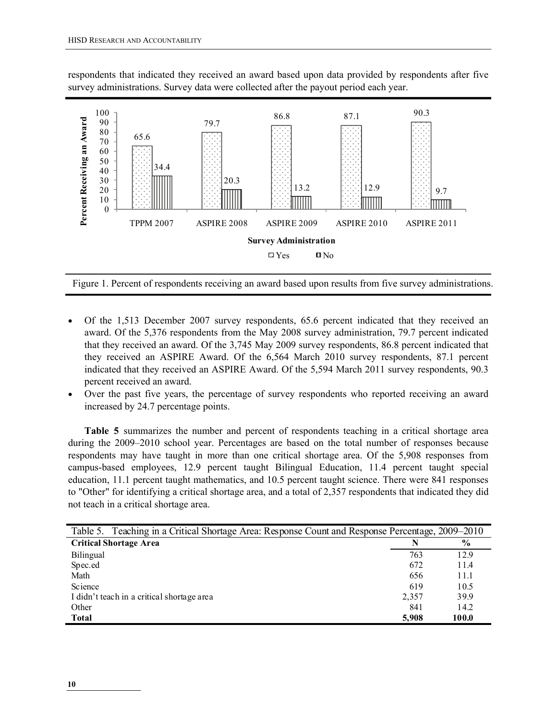respondents that indicated they received an award based upon data provided by respondents after five survey administrations. Survey data were collected after the payout period each year.





- Of the 1,513 December 2007 survey respondents, 65.6 percent indicated that they received an award. Of the 5,376 respondents from the May 2008 survey administration, 79.7 percent indicated that they received an award. Of the 3,745 May 2009 survey respondents, 86.8 percent indicated that they received an ASPIRE Award. Of the 6,564 March 2010 survey respondents, 87.1 percent indicated that they received an ASPIRE Award. Of the 5,594 March 2011 survey respondents, 90.3 percent received an award.
- Over the past five years, the percentage of survey respondents who reported receiving an award increased by 24.7 percentage points.

**Table 5** summarizes the number and percent of respondents teaching in a critical shortage area during the 2009–2010 school year. Percentages are based on the total number of responses because respondents may have taught in more than one critical shortage area. Of the 5,908 responses from campus-based employees, 12.9 percent taught Bilingual Education, 11.4 percent taught special education, 11.1 percent taught mathematics, and 10.5 percent taught science. There were 841 responses to "Other" for identifying a critical shortage area, and a total of 2,357 respondents that indicated they did not teach in a critical shortage area.

| Table 5. Teaching in a Critical Shortage Area: Response Count and Response Percentage, 2009–2010 |       |               |  |  |  |  |  |
|--------------------------------------------------------------------------------------------------|-------|---------------|--|--|--|--|--|
| <b>Critical Shortage Area</b>                                                                    |       | $\frac{6}{9}$ |  |  |  |  |  |
| <b>Bilingual</b>                                                                                 | 763   | 12.9          |  |  |  |  |  |
| Spec.ed                                                                                          | 672   | 11.4          |  |  |  |  |  |
| Math                                                                                             | 656   | 11.1          |  |  |  |  |  |
| Science                                                                                          | 619   | 10.5          |  |  |  |  |  |
| I didn't teach in a critical shortage area                                                       | 2,357 | 39.9          |  |  |  |  |  |
| Other                                                                                            | 841   | 14.2          |  |  |  |  |  |
| <b>Total</b>                                                                                     | 5,908 | 100.0         |  |  |  |  |  |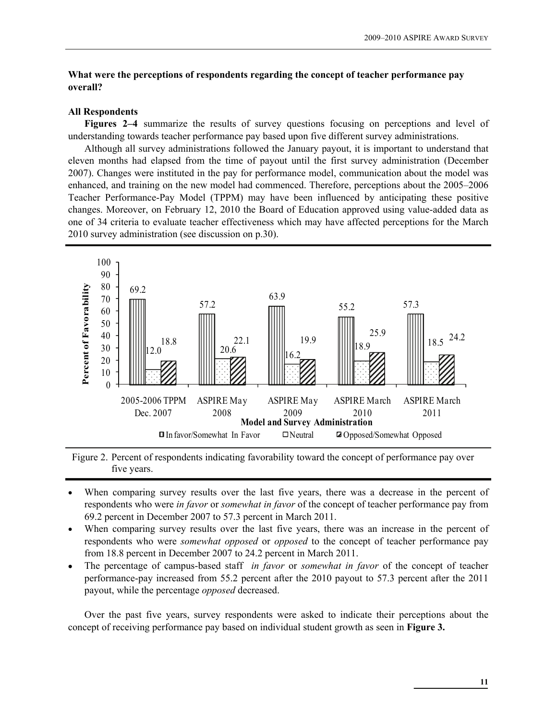## **What were the perceptions of respondents regarding the concept of teacher performance pay overall?**

## **All Respondents**

**Figures 2–4** summarize the results of survey questions focusing on perceptions and level of understanding towards teacher performance pay based upon five different survey administrations.

Although all survey administrations followed the January payout, it is important to understand that eleven months had elapsed from the time of payout until the first survey administration (December 2007). Changes were instituted in the pay for performance model, communication about the model was enhanced, and training on the new model had commenced. Therefore, perceptions about the 2005–2006 Teacher Performance-Pay Model (TPPM) may have been influenced by anticipating these positive changes. Moreover, on February 12, 2010 the Board of Education approved using value-added data as one of 34 criteria to evaluate teacher effectiveness which may have affected perceptions for the March 2010 survey administration (see discussion on p.30).



Figure 2. Percent of respondents indicating favorability toward the concept of performance pay over five years.

- When comparing survey results over the last five years, there was a decrease in the percent of respondents who were *in favor* or *somewhat in favor* of the concept of teacher performance pay from 69.2 percent in December 2007 to 57.3 percent in March 2011.
- When comparing survey results over the last five years, there was an increase in the percent of respondents who were *somewhat opposed* or *opposed* to the concept of teacher performance pay from 18.8 percent in December 2007 to 24.2 percent in March 2011.
- The percentage of campus-based staff *in favor* or *somewhat in favor* of the concept of teacher performance-pay increased from 55.2 percent after the 2010 payout to 57.3 percent after the 2011 payout, while the percentage *opposed* decreased.

Over the past five years, survey respondents were asked to indicate their perceptions about the concept of receiving performance pay based on individual student growth as seen in **Figure 3.**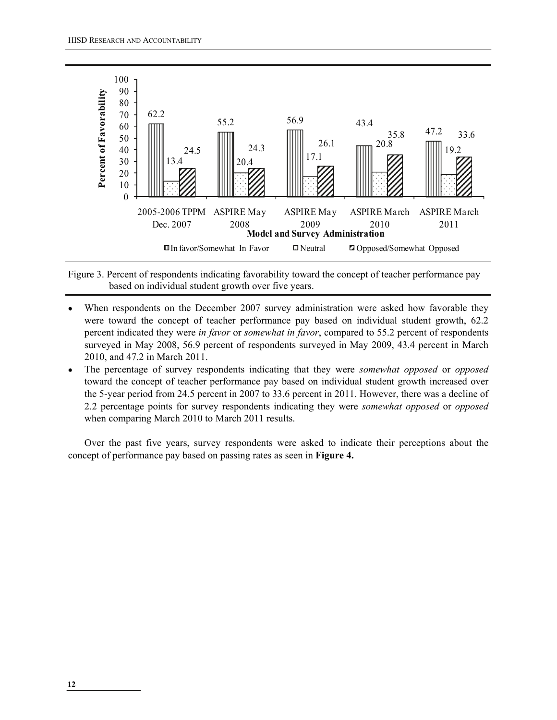

Figure 3. Percent of respondents indicating favorability toward the concept of teacher performance pay based on individual student growth over five years.

- When respondents on the December 2007 survey administration were asked how favorable they were toward the concept of teacher performance pay based on individual student growth, 62.2 percent indicated they were *in favor* or *somewhat in favor*, compared to 55.2 percent of respondents surveyed in May 2008, 56.9 percent of respondents surveyed in May 2009, 43.4 percent in March 2010, and 47.2 in March 2011.
- The percentage of survey respondents indicating that they were *somewhat opposed* or *opposed* toward the concept of teacher performance pay based on individual student growth increased over the 5-year period from 24.5 percent in 2007 to 33.6 percent in 2011. However, there was a decline of 2.2 percentage points for survey respondents indicating they were *somewhat opposed* or *opposed* when comparing March 2010 to March 2011 results.

Over the past five years, survey respondents were asked to indicate their perceptions about the concept of performance pay based on passing rates as seen in **Figure 4.**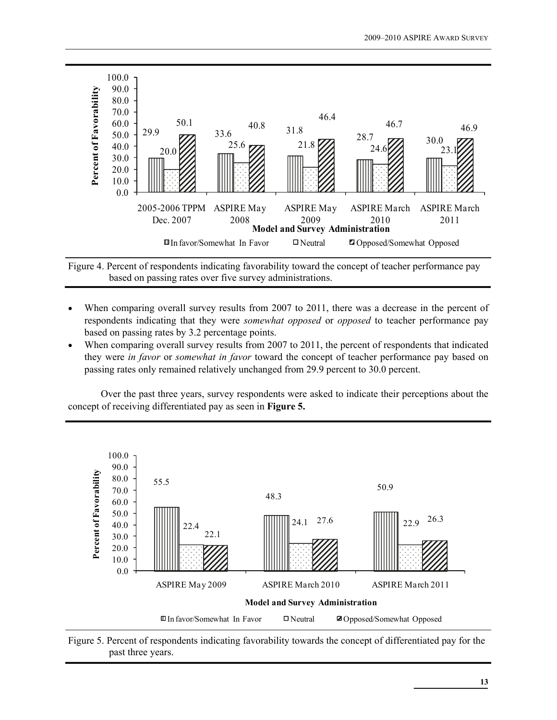



- When comparing overall survey results from 2007 to 2011, there was a decrease in the percent of respondents indicating that they were *somewhat opposed* or *opposed* to teacher performance pay based on passing rates by 3.2 percentage points.
- When comparing overall survey results from 2007 to 2011, the percent of respondents that indicated they were *in favor* or *somewhat in favor* toward the concept of teacher performance pay based on passing rates only remained relatively unchanged from 29.9 percent to 30.0 percent.

 Over the past three years, survey respondents were asked to indicate their perceptions about the concept of receiving differentiated pay as seen in **Figure 5.** 



Figure 5. Percent of respondents indicating favorability towards the concept of differentiated pay for the past three years.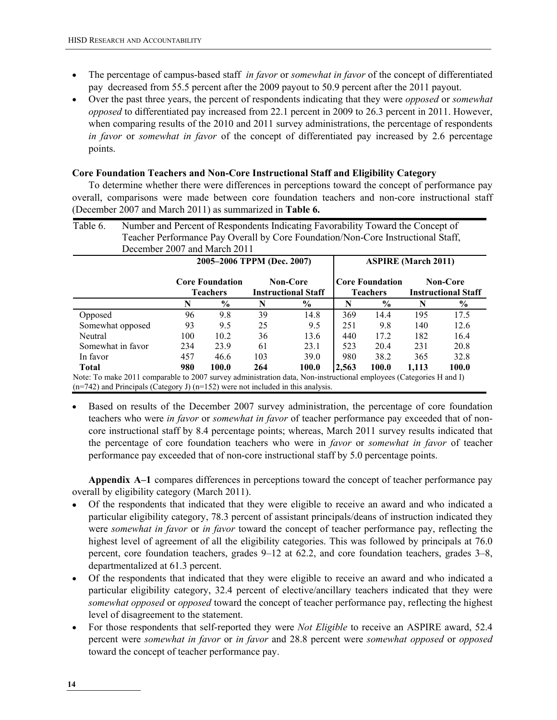- The percentage of campus-based staff *in favor* or *somewhat in favor* of the concept of differentiated pay decreased from 55.5 percent after the 2009 payout to 50.9 percent after the 2011 payout.
- Over the past three years, the percent of respondents indicating that they were *opposed* or *somewhat opposed* to differentiated pay increased from 22.1 percent in 2009 to 26.3 percent in 2011. However, when comparing results of the 2010 and 2011 survey administrations, the percentage of respondents *in favor* or *somewhat in favor* of the concept of differentiated pay increased by 2.6 percentage points.

## **Core Foundation Teachers and Non-Core Instructional Staff and Eligibility Category**

To determine whether there were differences in perceptions toward the concept of performance pay overall, comparisons were made between core foundation teachers and non-core instructional staff (December 2007 and March 2011) as summarized in **Table 6.** 

| Table 6.                                                                                                           |                                                                                  |                              |     | Number and Percent of Respondents Indicating Favorability Toward the Concept of |                 |                            |                            |                 |  |
|--------------------------------------------------------------------------------------------------------------------|----------------------------------------------------------------------------------|------------------------------|-----|---------------------------------------------------------------------------------|-----------------|----------------------------|----------------------------|-----------------|--|
|                                                                                                                    | Teacher Performance Pay Overall by Core Foundation/Non-Core Instructional Staff, |                              |     |                                                                                 |                 |                            |                            |                 |  |
|                                                                                                                    |                                                                                  | December 2007 and March 2011 |     |                                                                                 |                 |                            |                            |                 |  |
|                                                                                                                    |                                                                                  | 2005–2006 TPPM (Dec. 2007)   |     |                                                                                 |                 | <b>ASPIRE</b> (March 2011) |                            |                 |  |
|                                                                                                                    |                                                                                  | <b>Core Foundation</b>       |     | <b>Non-Core</b>                                                                 |                 | <b>Core Foundation</b>     |                            | <b>Non-Core</b> |  |
|                                                                                                                    |                                                                                  | <b>Teachers</b>              |     | <b>Instructional Staff</b>                                                      | <b>Teachers</b> |                            | <b>Instructional Staff</b> |                 |  |
|                                                                                                                    | N                                                                                | $\frac{6}{9}$                | N   | $\frac{0}{0}$                                                                   | N               | $\frac{6}{9}$              | N                          | $\%$            |  |
| Opposed                                                                                                            | 96                                                                               | 9.8                          | 39  | 14.8                                                                            | 369             | 14.4                       | 195                        | 17.5            |  |
| Somewhat opposed                                                                                                   | 93                                                                               | 9.5                          | 25  | 9.5                                                                             | 251             | 9.8                        | 140                        | 12.6            |  |
| Neutral                                                                                                            | 100                                                                              | 10.2                         | 36  | 13.6                                                                            | 440             | 17.2                       | 182                        | 16.4            |  |
| Somewhat in favor                                                                                                  | 234                                                                              | 23.9                         | 61  | 23.1                                                                            | 523             | 20.4                       | 231                        | 20.8            |  |
| In favor                                                                                                           | 457                                                                              | 46.6                         | 103 | 39.0                                                                            | 980             | 38.2                       | 365                        | 32.8            |  |
| <b>Total</b>                                                                                                       | 980                                                                              | 100.0                        | 264 | 100.0                                                                           | 2,563           | 100.0                      | 1.113                      | 100.0           |  |
| Note: To make 2011 comparable to 2007 survey administration data, Non-instructional employees (Categories H and I) |                                                                                  |                              |     |                                                                                 |                 |                            |                            |                 |  |
| $(n=742)$ and Principals (Category J) $(n=152)$ were not included in this analysis.                                |                                                                                  |                              |     |                                                                                 |                 |                            |                            |                 |  |

• Based on results of the December 2007 survey administration, the percentage of core foundation teachers who were *in favor* or *somewhat in favor* of teacher performance pay exceeded that of noncore instructional staff by 8.4 percentage points; whereas, March 2011 survey results indicated that the percentage of core foundation teachers who were in *favor* or *somewhat in favor* of teacher performance pay exceeded that of non-core instructional staff by 5.0 percentage points.

**Appendix A–1** compares differences in perceptions toward the concept of teacher performance pay overall by eligibility category (March 2011).

- Of the respondents that indicated that they were eligible to receive an award and who indicated a particular eligibility category, 78.3 percent of assistant principals/deans of instruction indicated they were *somewhat in favor* or *in favor* toward the concept of teacher performance pay, reflecting the highest level of agreement of all the eligibility categories. This was followed by principals at 76.0 percent, core foundation teachers, grades 9–12 at 62.2, and core foundation teachers, grades 3–8, departmentalized at 61.3 percent.
- Of the respondents that indicated that they were eligible to receive an award and who indicated a particular eligibility category, 32.4 percent of elective/ancillary teachers indicated that they were *somewhat opposed* or *opposed* toward the concept of teacher performance pay, reflecting the highest level of disagreement to the statement.
- For those respondents that self-reported they were *Not Eligible* to receive an ASPIRE award, 52.4 percent were *somewhat in favor* or *in favor* and 28.8 percent were *somewhat opposed* or *opposed*  toward the concept of teacher performance pay.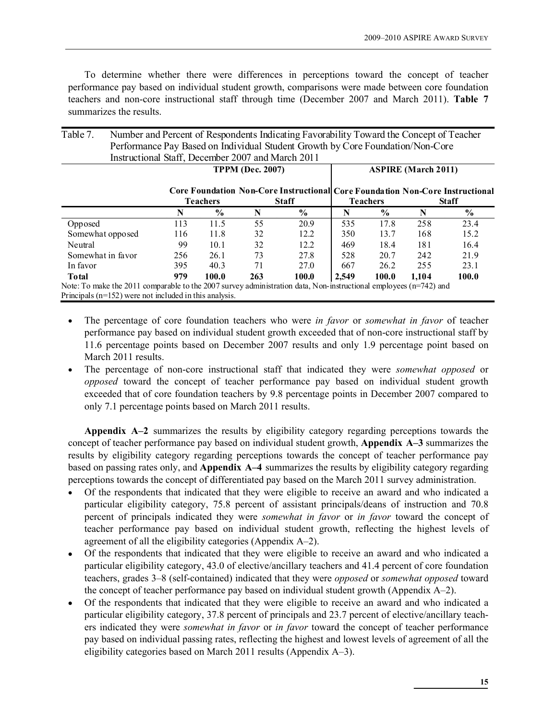To determine whether there were differences in perceptions toward the concept of teacher performance pay based on individual student growth, comparisons were made between core foundation teachers and non-core instructional staff through time (December 2007 and March 2011). **Table 7**  summarizes the results.

| Table 7.                                                                                                              |                                                                                |     |                 |                                                   | Number and Percent of Respondents Indicating Favorability Toward the Concept of Teacher |       |                 |                            |                                                                                                      |
|-----------------------------------------------------------------------------------------------------------------------|--------------------------------------------------------------------------------|-----|-----------------|---------------------------------------------------|-----------------------------------------------------------------------------------------|-------|-----------------|----------------------------|------------------------------------------------------------------------------------------------------|
|                                                                                                                       | Performance Pay Based on Individual Student Growth by Core Foundation/Non-Core |     |                 |                                                   |                                                                                         |       |                 |                            |                                                                                                      |
|                                                                                                                       |                                                                                |     |                 | Instructional Staff, December 2007 and March 2011 |                                                                                         |       |                 |                            |                                                                                                      |
|                                                                                                                       |                                                                                |     |                 | <b>TPPM</b> (Dec. 2007)                           |                                                                                         |       |                 | <b>ASPIRE</b> (March 2011) |                                                                                                      |
|                                                                                                                       |                                                                                |     | <b>Teachers</b> |                                                   | <b>Staff</b>                                                                            |       | <b>Teachers</b> |                            | <b>Core Foundation Non-Core Instructional Core Foundation Non-Core Instructional</b><br><b>Staff</b> |
|                                                                                                                       |                                                                                | N   | $\frac{0}{0}$   | N                                                 | $\frac{6}{9}$                                                                           | N     | $\frac{6}{6}$   | N                          | $\frac{0}{0}$                                                                                        |
| Opposed                                                                                                               |                                                                                | 113 | 11.5            | 55                                                | 20.9                                                                                    | 535   | 17.8            | 258                        | 23.4                                                                                                 |
| Somewhat opposed                                                                                                      |                                                                                | 116 | 11.8            | 32                                                | 12.2                                                                                    | 350   | 13.7            | 168                        | 15.2                                                                                                 |
| Neutral                                                                                                               |                                                                                | 99  | 10.1            | 32                                                | 12.2                                                                                    | 469   | 18.4            | 181                        | 16.4                                                                                                 |
| Somewhat in favor                                                                                                     |                                                                                | 256 | 26.1            | 73                                                | 27.8                                                                                    | 528   | 20.7            | 242                        | 21.9                                                                                                 |
| In favor                                                                                                              |                                                                                | 395 | 40.3            | 71                                                | 27.0                                                                                    | 667   | 26.2            | 255                        | 23.1                                                                                                 |
| Total                                                                                                                 |                                                                                | 979 | 100.0           | 263                                               | 100.0                                                                                   | 2,549 | 100.0           | 1,104                      | 100.0                                                                                                |
| Note: To make the 2011 comparable to the 2007 survey administration data, Non-instructional employees ( $n=742$ ) and |                                                                                |     |                 |                                                   |                                                                                         |       |                 |                            |                                                                                                      |
| Principals $(n=152)$ were not included in this analysis.                                                              |                                                                                |     |                 |                                                   |                                                                                         |       |                 |                            |                                                                                                      |

- The percentage of core foundation teachers who were *in favor* or *somewhat in favor* of teacher performance pay based on individual student growth exceeded that of non-core instructional staff by 11.6 percentage points based on December 2007 results and only 1.9 percentage point based on March 2011 results.
- The percentage of non-core instructional staff that indicated they were *somewhat opposed* or *opposed* toward the concept of teacher performance pay based on individual student growth exceeded that of core foundation teachers by 9.8 percentage points in December 2007 compared to only 7.1 percentage points based on March 2011 results.

**Appendix A–2** summarizes the results by eligibility category regarding perceptions towards the concept of teacher performance pay based on individual student growth, **Appendix A–3** summarizes the results by eligibility category regarding perceptions towards the concept of teacher performance pay based on passing rates only, and **Appendix A–4** summarizes the results by eligibility category regarding perceptions towards the concept of differentiated pay based on the March 2011 survey administration.

- Of the respondents that indicated that they were eligible to receive an award and who indicated a particular eligibility category, 75.8 percent of assistant principals/deans of instruction and 70.8 percent of principals indicated they were *somewhat in favor* or *in favor* toward the concept of teacher performance pay based on individual student growth, reflecting the highest levels of agreement of all the eligibility categories (Appendix A–2).
- Of the respondents that indicated that they were eligible to receive an award and who indicated a particular eligibility category, 43.0 of elective/ancillary teachers and 41.4 percent of core foundation teachers, grades 3–8 (self-contained) indicated that they were *opposed* or *somewhat opposed* toward the concept of teacher performance pay based on individual student growth (Appendix A–2).
- Of the respondents that indicated that they were eligible to receive an award and who indicated a particular eligibility category, 37.8 percent of principals and 23.7 percent of elective/ancillary teachers indicated they were *somewhat in favor* or *in favor* toward the concept of teacher performance pay based on individual passing rates, reflecting the highest and lowest levels of agreement of all the eligibility categories based on March 2011 results (Appendix A–3).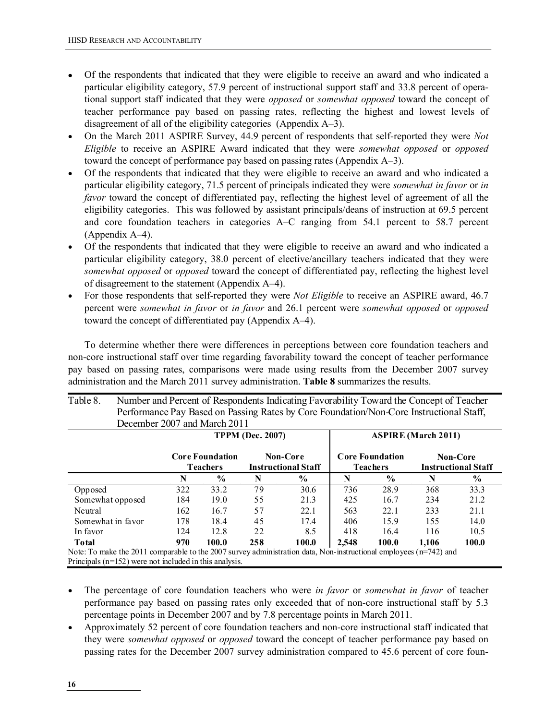- Of the respondents that indicated that they were eligible to receive an award and who indicated a particular eligibility category, 57.9 percent of instructional support staff and 33.8 percent of operational support staff indicated that they were *opposed* or *somewhat opposed* toward the concept of teacher performance pay based on passing rates, reflecting the highest and lowest levels of disagreement of all of the eligibility categories (Appendix A–3).
- On the March 2011 ASPIRE Survey, 44.9 percent of respondents that self-reported they were *Not Eligible* to receive an ASPIRE Award indicated that they were *somewhat opposed* or *opposed* toward the concept of performance pay based on passing rates (Appendix A–3).
- Of the respondents that indicated that they were eligible to receive an award and who indicated a particular eligibility category, 71.5 percent of principals indicated they were *somewhat in favor* or *in favor* toward the concept of differentiated pay, reflecting the highest level of agreement of all the eligibility categories. This was followed by assistant principals/deans of instruction at 69.5 percent and core foundation teachers in categories A–C ranging from 54.1 percent to 58.7 percent (Appendix A–4).
- Of the respondents that indicated that they were eligible to receive an award and who indicated a particular eligibility category, 38.0 percent of elective/ancillary teachers indicated that they were *somewhat opposed* or *opposed* toward the concept of differentiated pay, reflecting the highest level of disagreement to the statement (Appendix A–4).
- For those respondents that self-reported they were *Not Eligible* to receive an ASPIRE award, 46.7 percent were *somewhat in favor* or *in favor* and 26.1 percent were *somewhat opposed* or *opposed* toward the concept of differentiated pay (Appendix A–4).

To determine whether there were differences in perceptions between core foundation teachers and non-core instructional staff over time regarding favorability toward the concept of teacher performance pay based on passing rates, comparisons were made using results from the December 2007 survey administration and the March 2011 survey administration. **Table 8** summarizes the results.

|                                                                                                                       |                                                                                            |                              |                         | Performance Pay Based on Passing Rates by Core Foundation/Non-Core Instructional Staff, |       |                                           |                                               |       |
|-----------------------------------------------------------------------------------------------------------------------|--------------------------------------------------------------------------------------------|------------------------------|-------------------------|-----------------------------------------------------------------------------------------|-------|-------------------------------------------|-----------------------------------------------|-------|
|                                                                                                                       |                                                                                            | December 2007 and March 2011 |                         |                                                                                         |       |                                           |                                               |       |
|                                                                                                                       |                                                                                            |                              | <b>TPPM</b> (Dec. 2007) |                                                                                         |       | <b>ASPIRE</b> (March 2011)                |                                               |       |
|                                                                                                                       | <b>Core Foundation</b><br><b>Non-Core</b><br><b>Instructional Staff</b><br><b>Teachers</b> |                              |                         |                                                                                         |       | <b>Core Foundation</b><br><b>Teachers</b> | <b>Non-Core</b><br><b>Instructional Staff</b> |       |
|                                                                                                                       | N                                                                                          | $\%$                         | N                       | $\%$                                                                                    | N     | $\frac{6}{9}$                             | N                                             | $\%$  |
| Opposed                                                                                                               | 322                                                                                        | 33.2                         | 79                      | 30.6                                                                                    | 736   | 28.9                                      | 368                                           | 33.3  |
| Somewhat opposed                                                                                                      | 184                                                                                        | 19.0                         | 55                      | 21.3                                                                                    | 425   | 16.7                                      | 234                                           | 21.2  |
| Neutral                                                                                                               | 162                                                                                        | 16.7                         | 57                      | 22.1                                                                                    | 563   | 22.1                                      | 233                                           | 21.1  |
| Somewhat in favor                                                                                                     | 178                                                                                        | 18.4                         | 45                      | 17.4                                                                                    | 406   | 15.9                                      | 155                                           | 14.0  |
| In favor                                                                                                              | 124                                                                                        | 12.8                         | 22                      | 8.5                                                                                     | 418   | 16.4                                      | 116                                           | 10.5  |
| <b>Total</b>                                                                                                          | 970                                                                                        | 100.0                        | 258                     | 100.0                                                                                   | 2,548 | 100.0                                     | 1.106                                         | 100.0 |
| Note: To make the 2011 comparable to the 2007 survey administration data, Non-instructional employees ( $n=742$ ) and |                                                                                            |                              |                         |                                                                                         |       |                                           |                                               |       |
| Principals $(n=152)$ were not included in this analysis.                                                              |                                                                                            |                              |                         |                                                                                         |       |                                           |                                               |       |

Table 8. Number and Percent of Respondents Indicating Favorability Toward the Concept of Teacher

- The percentage of core foundation teachers who were *in favor* or *somewhat in favor* of teacher performance pay based on passing rates only exceeded that of non-core instructional staff by 5.3 percentage points in December 2007 and by 7.8 percentage points in March 2011.
- Approximately 52 percent of core foundation teachers and non-core instructional staff indicated that they were *somewhat opposed* or *opposed* toward the concept of teacher performance pay based on passing rates for the December 2007 survey administration compared to 45.6 percent of core foun-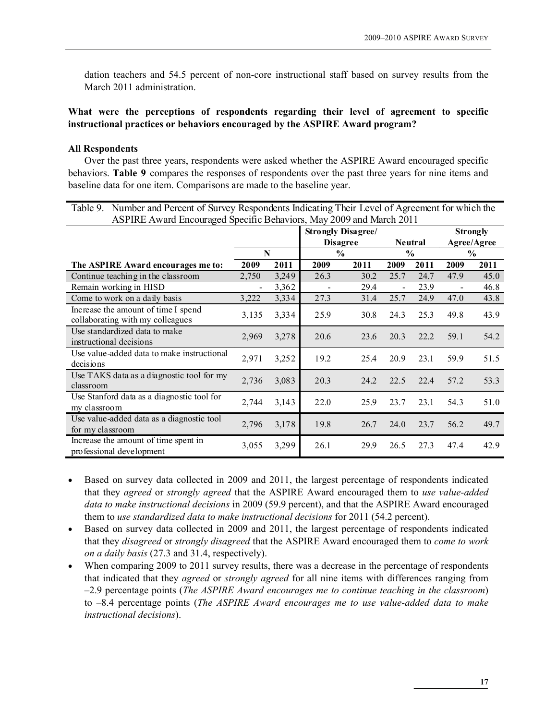dation teachers and 54.5 percent of non-core instructional staff based on survey results from the March 2011 administration.

## **What were the perceptions of respondents regarding their level of agreement to specific instructional practices or behaviors encouraged by the ASPIRE Award program?**

#### **All Respondents**

Over the past three years, respondents were asked whether the ASPIRE Award encouraged specific behaviors. **Table 9** compares the responses of respondents over the past three years for nine items and baseline data for one item. Comparisons are made to the baseline year.

| Number and Percent of Survey Respondents Indicating Their Level of Agreement for which the<br>Table 9.<br>ASPIRE Award Encouraged Specific Behaviors, May 2009 and March 2011 |       |       |                                       |      |                                |               |                |               |
|-------------------------------------------------------------------------------------------------------------------------------------------------------------------------------|-------|-------|---------------------------------------|------|--------------------------------|---------------|----------------|---------------|
|                                                                                                                                                                               |       |       | Strongly Disagree/<br><b>Disagree</b> |      | <b>Strongly</b><br>Agree/Agree |               |                |               |
|                                                                                                                                                                               | N     |       | $\frac{6}{6}$                         |      |                                | $\frac{0}{0}$ |                | $\frac{6}{6}$ |
| The ASPIRE Award encourages me to:                                                                                                                                            | 2009  | 2011  | 2009                                  | 2011 | 2009                           | 2011          | 2009           | 2011          |
| Continue teaching in the classroom                                                                                                                                            | 2,750 | 3,249 | 26.3                                  | 30.2 | 25.7                           | 24.7          | 47.9           | 45.0          |
| Remain working in HISD                                                                                                                                                        |       | 3,362 |                                       | 29.4 |                                | 23.9          | $\blacksquare$ | 46.8          |
| Come to work on a daily basis                                                                                                                                                 | 3,222 | 3,334 | 27.3                                  | 31.4 | 25.7                           | 24.9          | 47.0           | 43.8          |
| Increase the amount of time I spend<br>collaborating with my colleagues                                                                                                       | 3,135 | 3,334 | 25.9                                  | 30.8 | 24.3                           | 25.3          | 49.8           | 43.9          |
| Use standardized data to make<br>instructional decisions                                                                                                                      | 2,969 | 3,278 | 20.6                                  | 23.6 | 20.3                           | 22.2          | 59.1           | 54.2          |
| Use value-added data to make instructional<br>decisions                                                                                                                       | 2,971 | 3,252 | 19.2                                  | 25.4 | 20.9                           | 23.1          | 59.9           | 51.5          |
| Use TAKS data as a diagnostic tool for my<br>classroom                                                                                                                        | 2,736 | 3,083 | 20.3                                  | 24.2 | 22.5                           | 22.4          | 57.2           | 53.3          |
| Use Stanford data as a diagnostic tool for<br>my classroom                                                                                                                    | 2,744 | 3,143 | 22.0                                  | 25.9 | 23.7                           | 23.1          | 54.3           | 51.0          |
| Use value-added data as a diagnostic tool<br>for my classroom                                                                                                                 | 2,796 | 3,178 | 19.8                                  | 26.7 | 24.0                           | 23.7          | 56.2           | 49.7          |
| Increase the amount of time spent in<br>professional development                                                                                                              | 3,055 | 3,299 | 26.1                                  | 29.9 | 26.5                           | 27.3          | 47.4           | 42.9          |

- Based on survey data collected in 2009 and 2011, the largest percentage of respondents indicated that they *agreed* or *strongly agreed* that the ASPIRE Award encouraged them to *use value-added data to make instructional decisions* in 2009 (59.9 percent), and that the ASPIRE Award encouraged them to *use standardized data to make instructional decisions* for 2011 (54.2 percent).
- Based on survey data collected in 2009 and 2011, the largest percentage of respondents indicated that they *disagreed* or *strongly disagreed* that the ASPIRE Award encouraged them to *come to work on a daily basis* (27.3 and 31.4, respectively).
- When comparing 2009 to 2011 survey results, there was a decrease in the percentage of respondents that indicated that they *agreed* or *strongly agreed* for all nine items with differences ranging from –2.9 percentage points (*The ASPIRE Award encourages me to continue teaching in the classroom*) to –8.4 percentage points (*The ASPIRE Award encourages me to use value-added data to make instructional decisions*).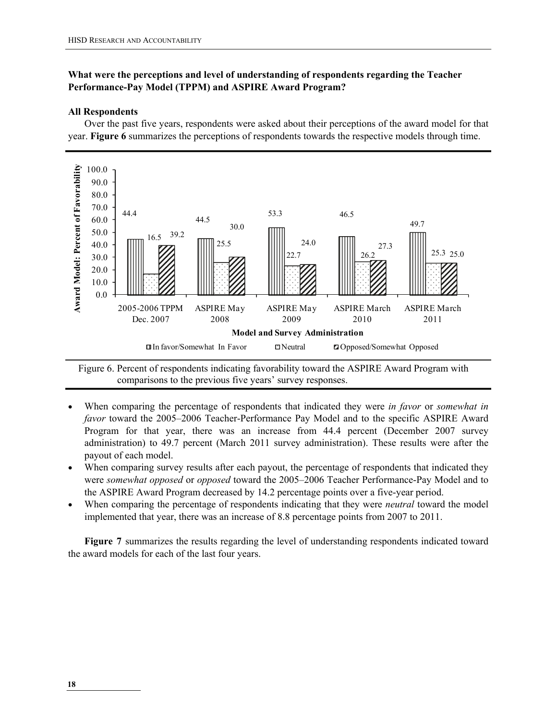## **What were the perceptions and level of understanding of respondents regarding the Teacher Performance-Pay Model (TPPM) and ASPIRE Award Program?**

## **All Respondents**

Over the past five years, respondents were asked about their perceptions of the award model for that year. **Figure 6** summarizes the perceptions of respondents towards the respective models through time.



Figure 6. Percent of respondents indicating favorability toward the ASPIRE Award Program with comparisons to the previous five years' survey responses.

- When comparing the percentage of respondents that indicated they were *in favor* or *somewhat in favor* toward the 2005–2006 Teacher-Performance Pay Model and to the specific ASPIRE Award Program for that year, there was an increase from 44.4 percent (December 2007 survey administration) to 49.7 percent (March 2011 survey administration). These results were after the payout of each model.
- When comparing survey results after each payout, the percentage of respondents that indicated they were *somewhat opposed* or *opposed* toward the 2005–2006 Teacher Performance-Pay Model and to the ASPIRE Award Program decreased by 14.2 percentage points over a five-year period.
- When comparing the percentage of respondents indicating that they were *neutral* toward the model implemented that year, there was an increase of 8.8 percentage points from 2007 to 2011.

**Figure 7** summarizes the results regarding the level of understanding respondents indicated toward the award models for each of the last four years.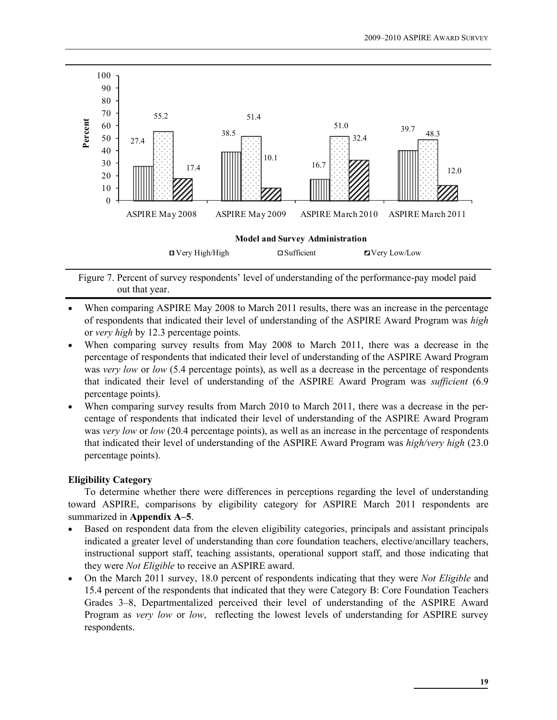

Figure 7. Percent of survey respondents' level of understanding of the performance-pay model paid out that year.

- When comparing ASPIRE May 2008 to March 2011 results, there was an increase in the percentage of respondents that indicated their level of understanding of the ASPIRE Award Program was *high* or *very high* by 12.3 percentage points.
- When comparing survey results from May 2008 to March 2011, there was a decrease in the percentage of respondents that indicated their level of understanding of the ASPIRE Award Program was *very low* or *low* (5.4 percentage points), as well as a decrease in the percentage of respondents that indicated their level of understanding of the ASPIRE Award Program was *sufficient* (6.9 percentage points).
- When comparing survey results from March 2010 to March 2011, there was a decrease in the percentage of respondents that indicated their level of understanding of the ASPIRE Award Program was *very low* or *low* (20.4 percentage points), as well as an increase in the percentage of respondents that indicated their level of understanding of the ASPIRE Award Program was *high/very high* (23.0 percentage points).

#### **Eligibility Category**

To determine whether there were differences in perceptions regarding the level of understanding toward ASPIRE, comparisons by eligibility category for ASPIRE March 2011 respondents are summarized in **Appendix A–5**.

- Based on respondent data from the eleven eligibility categories, principals and assistant principals indicated a greater level of understanding than core foundation teachers, elective/ancillary teachers, instructional support staff, teaching assistants, operational support staff, and those indicating that they were *Not Eligible* to receive an ASPIRE award.
- On the March 2011 survey, 18.0 percent of respondents indicating that they were *Not Eligible* and 15.4 percent of the respondents that indicated that they were Category B: Core Foundation Teachers Grades 3–8, Departmentalized perceived their level of understanding of the ASPIRE Award Program as *very low* or *low*, reflecting the lowest levels of understanding for ASPIRE survey respondents.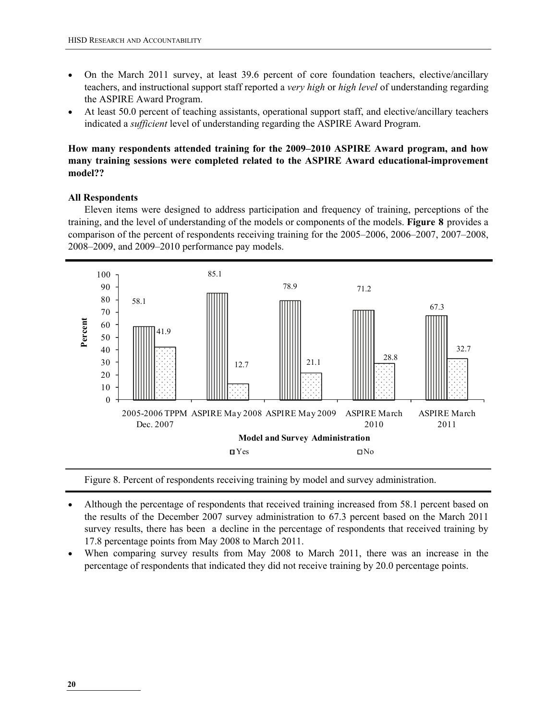- On the March 2011 survey, at least 39.6 percent of core foundation teachers, elective/ancillary teachers, and instructional support staff reported a *very high* or *high level* of understanding regarding the ASPIRE Award Program.
- At least 50.0 percent of teaching assistants, operational support staff, and elective/ancillary teachers indicated a *sufficient* level of understanding regarding the ASPIRE Award Program.

## **How many respondents attended training for the 2009–2010 ASPIRE Award program, and how many training sessions were completed related to the ASPIRE Award educational-improvement model??**

## **All Respondents**

Eleven items were designed to address participation and frequency of training, perceptions of the training, and the level of understanding of the models or components of the models. **Figure 8** provides a comparison of the percent of respondents receiving training for the 2005–2006, 2006–2007, 2007–2008, 2008–2009, and 2009–2010 performance pay models.



Figure 8. Percent of respondents receiving training by model and survey administration.

- Although the percentage of respondents that received training increased from 58.1 percent based on the results of the December 2007 survey administration to 67.3 percent based on the March 2011 survey results, there has been a decline in the percentage of respondents that received training by 17.8 percentage points from May 2008 to March 2011.
- When comparing survey results from May 2008 to March 2011, there was an increase in the percentage of respondents that indicated they did not receive training by 20.0 percentage points.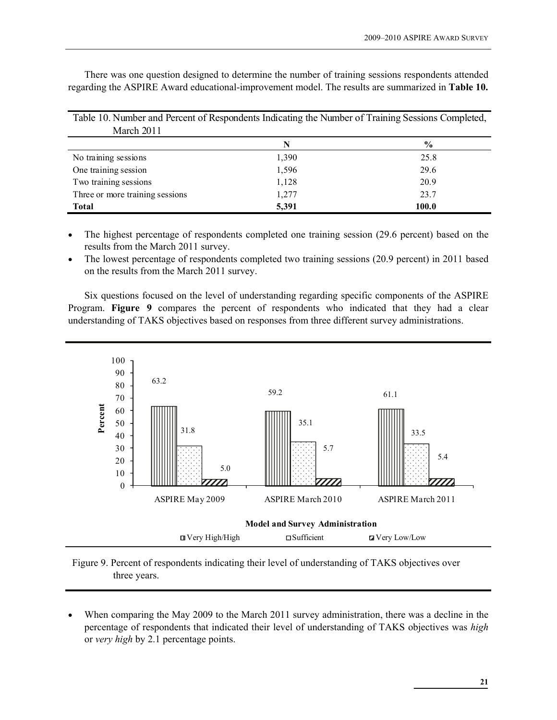There was one question designed to determine the number of training sessions respondents attended regarding the ASPIRE Award educational-improvement model. The results are summarized in **Table 10.** 

| March 2011                      |       |               |
|---------------------------------|-------|---------------|
|                                 | N     | $\frac{6}{9}$ |
| No training sessions            | 1,390 | 25.8          |
| One training session            | 1,596 | 29.6          |
| Two training sessions           | 1,128 | 20.9          |
| Three or more training sessions | 1,277 | 23.7          |
| <b>Total</b>                    | 5,391 | 100.0         |

Table 10. Number and Percent of Respondents Indicating the Number of Training Sessions Completed,  $M = 1.2011$ 

- The highest percentage of respondents completed one training session (29.6 percent) based on the results from the March 2011 survey.
- The lowest percentage of respondents completed two training sessions (20.9 percent) in 2011 based on the results from the March 2011 survey.

Six questions focused on the level of understanding regarding specific components of the ASPIRE Program. **Figure 9** compares the percent of respondents who indicated that they had a clear understanding of TAKS objectives based on responses from three different survey administrations.



Figure 9. Percent of respondents indicating their level of understanding of TAKS objectives over three years.

 When comparing the May 2009 to the March 2011 survey administration, there was a decline in the percentage of respondents that indicated their level of understanding of TAKS objectives was *high* or *very high* by 2.1 percentage points.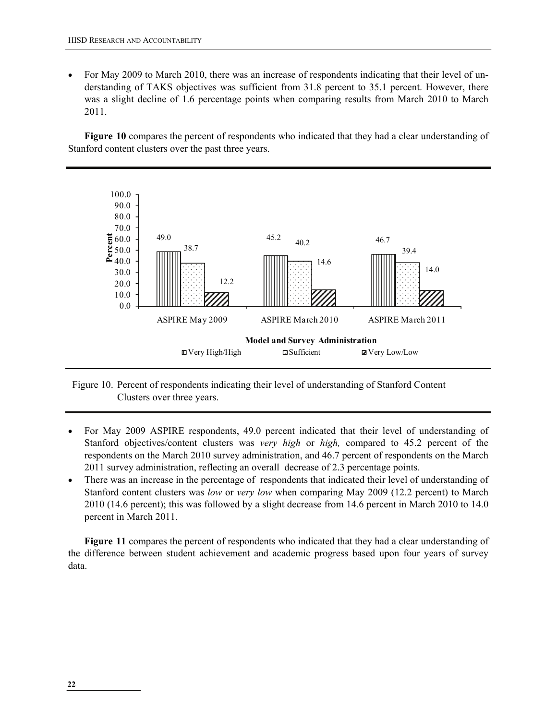For May 2009 to March 2010, there was an increase of respondents indicating that their level of understanding of TAKS objectives was sufficient from 31.8 percent to 35.1 percent. However, there was a slight decline of 1.6 percentage points when comparing results from March 2010 to March 2011.

**Figure 10** compares the percent of respondents who indicated that they had a clear understanding of Stanford content clusters over the past three years.



Figure 10. Percent of respondents indicating their level of understanding of Stanford Content Clusters over three years.

- For May 2009 ASPIRE respondents, 49.0 percent indicated that their level of understanding of Stanford objectives/content clusters was *very high* or *high,* compared to 45.2 percent of the respondents on the March 2010 survey administration, and 46.7 percent of respondents on the March 2011 survey administration, reflecting an overall decrease of 2.3 percentage points.
- There was an increase in the percentage of respondents that indicated their level of understanding of Stanford content clusters was *low* or *very low* when comparing May 2009 (12.2 percent) to March 2010 (14.6 percent); this was followed by a slight decrease from 14.6 percent in March 2010 to 14.0 percent in March 2011.

**Figure 11** compares the percent of respondents who indicated that they had a clear understanding of the difference between student achievement and academic progress based upon four years of survey data.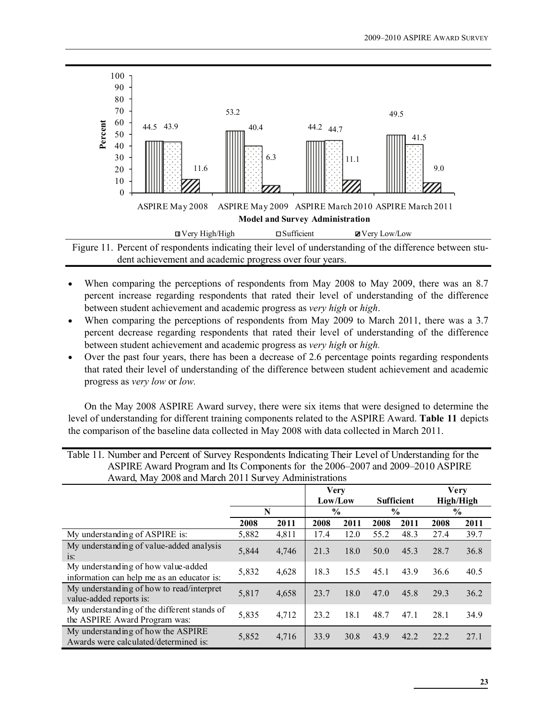

dent achievement and academic progress over four years.

- When comparing the perceptions of respondents from May 2008 to May 2009, there was an 8.7 percent increase regarding respondents that rated their level of understanding of the difference between student achievement and academic progress as *very high* or *high*.
- When comparing the perceptions of respondents from May 2009 to March 2011, there was a 3.7 percent decrease regarding respondents that rated their level of understanding of the difference between student achievement and academic progress as *very high* or *high.*
- Over the past four years, there has been a decrease of 2.6 percentage points regarding respondents that rated their level of understanding of the difference between student achievement and academic progress as *very low* or *low.*

On the May 2008 ASPIRE Award survey, there were six items that were designed to determine the level of understanding for different training components related to the ASPIRE Award. **Table 11** depicts the comparison of the baseline data collected in May 2008 with data collected in March 2011.

Table 11. Number and Percent of Survey Respondents Indicating Their Level of Understanding for the ASPIRE Award Program and Its Components for the 2006–2007 and 2009–2010 ASPIRE Award, May 2008 and March 2011 Survey Administrations

|                                                                              |       |       | <b>Very</b>   |      |      |                   | <b>Very</b>   |      |
|------------------------------------------------------------------------------|-------|-------|---------------|------|------|-------------------|---------------|------|
|                                                                              |       |       | Low/Low       |      |      | <b>Sufficient</b> | High/High     |      |
|                                                                              | N     |       | $\frac{6}{9}$ |      |      | $\frac{6}{9}$     | $\frac{6}{9}$ |      |
|                                                                              | 2008  | 2011  | 2008          | 2011 | 2008 | 2011              | 2008          | 2011 |
| My understanding of ASPIRE is:                                               | 5,882 | 4,811 | 17.4          | 12.0 | 55.2 | 48.3              | 27.4          | 39.7 |
| My understanding of value-added analysis                                     | 5,844 | 4,746 | 21.3          | 18.0 | 50.0 | 45.3              | 28.7          | 36.8 |
| $iS$ :                                                                       |       |       |               |      |      |                   |               |      |
| My understanding of how value-added                                          | 5,832 | 4,628 | 18.3          | 15.5 | 45.1 | 43.9              | 36.6          | 40.5 |
| information can help me as an educator is:                                   |       |       |               |      |      |                   |               |      |
| My understanding of how to read/interpret<br>value-added reports is:         | 5,817 | 4,658 | 23.7          | 18.0 | 47.0 | 45.8              | 29.3          | 36.2 |
| My understanding of the different stands of<br>the ASPIRE Award Program was: | 5,835 | 4,712 | 23.2          | 18.1 | 48.7 | 47.1              | 28.1          | 34.9 |
| My understanding of how the ASPIRE<br>Awards were calculated/determined is:  | 5,852 | 4,716 | 33.9          | 30.8 | 43.9 | 42.2              | 22.2          | 27.1 |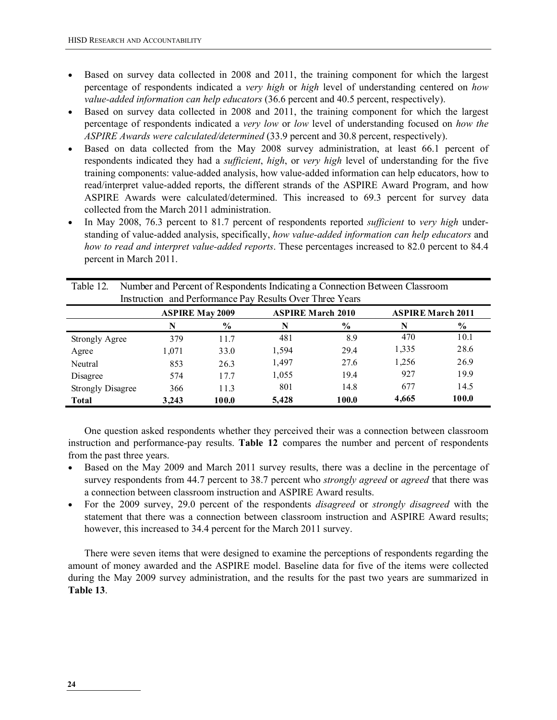- Based on survey data collected in 2008 and 2011, the training component for which the largest percentage of respondents indicated a *very high* or *high* level of understanding centered on *how value-added information can help educators* (36.6 percent and 40.5 percent, respectively).
- Based on survey data collected in 2008 and 2011, the training component for which the largest percentage of respondents indicated a *very low* or *low* level of understanding focused on *how the ASPIRE Awards were calculated/determined* (33.9 percent and 30.8 percent, respectively).
- Based on data collected from the May 2008 survey administration, at least 66.1 percent of respondents indicated they had a *sufficient*, *high*, or *very high* level of understanding for the five training components: value-added analysis, how value-added information can help educators, how to read/interpret value-added reports, the different strands of the ASPIRE Award Program, and how ASPIRE Awards were calculated/determined. This increased to 69.3 percent for survey data collected from the March 2011 administration.
- In May 2008, 76.3 percent to 81.7 percent of respondents reported *sufficient* to *very high* understanding of value-added analysis, specifically, *how value-added information can help educators* and *how to read and interpret value-added reports*. These percentages increased to 82.0 percent to 84.4 percent in March 2011.

| Table 12.<br>Number and Percent of Respondents Indicating a Connection Between Classroom |       |               |                                                          |       |       |               |  |
|------------------------------------------------------------------------------------------|-------|---------------|----------------------------------------------------------|-------|-------|---------------|--|
|                                                                                          |       |               | Instruction and Performance Pay Results Over Three Years |       |       |               |  |
| <b>ASPIRE May 2009</b><br><b>ASPIRE March 2010</b><br><b>ASPIRE March 2011</b>           |       |               |                                                          |       |       |               |  |
|                                                                                          | N     | $\frac{0}{0}$ | N                                                        | $\%$  | N     | $\frac{0}{0}$ |  |
| <b>Strongly Agree</b>                                                                    | 379   | 11.7          | 481                                                      | 8.9   | 470   | 10.1          |  |
| Agree                                                                                    | 1,071 | 33.0          | 1,594                                                    | 29.4  | 1,335 | 28.6          |  |
| Neutral                                                                                  | 853   | 26.3          | 1,497                                                    | 27.6  | 1,256 | 26.9          |  |
| Disagree                                                                                 | 574   | 17.7          | 1,055                                                    | 19.4  | 927   | 19.9          |  |
| <b>Strongly Disagree</b>                                                                 | 366   | 11.3          | 801                                                      | 14.8  | 677   | 14.5          |  |
| <b>Total</b>                                                                             | 3.243 | 100.0         | 5,428                                                    | 100.0 | 4,665 | 100.0         |  |

One question asked respondents whether they perceived their was a connection between classroom instruction and performance-pay results. **Table 12** compares the number and percent of respondents from the past three years.

- Based on the May 2009 and March 2011 survey results, there was a decline in the percentage of survey respondents from 44.7 percent to 38.7 percent who *strongly agreed* or *agreed* that there was a connection between classroom instruction and ASPIRE Award results.
- For the 2009 survey, 29.0 percent of the respondents *disagreed* or *strongly disagreed* with the statement that there was a connection between classroom instruction and ASPIRE Award results; however, this increased to 34.4 percent for the March 2011 survey.

There were seven items that were designed to examine the perceptions of respondents regarding the amount of money awarded and the ASPIRE model. Baseline data for five of the items were collected during the May 2009 survey administration, and the results for the past two years are summarized in **Table 13**.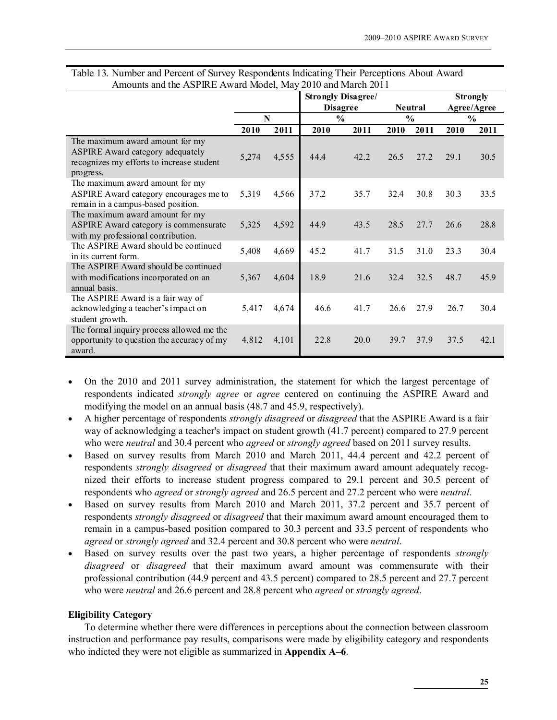| Allivants and the AST INE Award twouch, tylay 2010 and tylaten 2011 |       |       |                           |                 |               |                |                                |      |
|---------------------------------------------------------------------|-------|-------|---------------------------|-----------------|---------------|----------------|--------------------------------|------|
|                                                                     |       |       | <b>Strongly Disagree/</b> |                 |               | <b>Neutral</b> | <b>Strongly</b><br>Agree/Agree |      |
|                                                                     |       | N     |                           | <b>Disagree</b> |               |                |                                |      |
|                                                                     |       |       | $\%$                      |                 | $\frac{6}{6}$ |                | $\frac{6}{9}$                  |      |
|                                                                     | 2010  | 2011  | 2010                      | 2011            | 2010          | 2011           | 2010                           | 2011 |
| The maximum award amount for my                                     |       |       |                           |                 |               |                |                                |      |
| <b>ASPIRE</b> Award category adequately                             | 5,274 | 4,555 | 44.4                      | 42.2            | 26.5          | 27.2           | 29.1                           | 30.5 |
| recognizes my efforts to increase student                           |       |       |                           |                 |               |                |                                |      |
| progress.                                                           |       |       |                           |                 |               |                |                                |      |
| The maximum award amount for my                                     |       |       |                           |                 |               |                |                                |      |
| ASPIRE Award category encourages me to                              | 5,319 | 4,566 | 37.2                      | 35.7            | 32.4          | 30.8           | 30.3                           | 33.5 |
| remain in a campus-based position.                                  |       |       |                           |                 |               |                |                                |      |
| The maximum award amount for my                                     |       |       |                           |                 |               |                |                                |      |
| ASPIRE Award category is commensurate                               | 5,325 | 4,592 | 44.9                      | 43.5            | 28.5          | 27.7           | 26.6                           | 28.8 |
| with my professional contribution.                                  |       |       |                           |                 |               |                |                                |      |
| The ASPIRE Award should be continued                                |       |       |                           |                 |               |                |                                |      |
| in its current form                                                 | 5,408 | 4,669 | 45.2                      | 41.7            | 31.5          | 31.0           | 23.3                           | 30.4 |
| The ASPIRE Award should be continued                                |       |       |                           |                 |               |                |                                |      |
| with modifications incorporated on an                               | 5,367 | 4,604 | 18.9                      | 21.6            | 32.4          | 32.5           | 48.7                           | 45.9 |
| annual basis.                                                       |       |       |                           |                 |               |                |                                |      |
| The ASPIRE Award is a fair way of                                   |       |       |                           |                 |               |                |                                |      |
| acknowledging a teacher's impact on                                 | 5,417 | 4,674 | 46.6                      | 41.7            | 26.6          | 27.9           | 26.7                           | 30.4 |
| student growth.                                                     |       |       |                           |                 |               |                |                                |      |
| The formal inquiry process allowed me the                           |       |       |                           |                 |               |                |                                |      |
| opportunity to question the accuracy of my                          | 4,812 | 4,101 | 22.8                      | 20.0            | 39.7          | 37.9           | 37.5                           | 42.1 |
| award.                                                              |       |       |                           |                 |               |                |                                |      |

| Table 13. Number and Percent of Survey Respondents Indicating Their Perceptions About Award |  |
|---------------------------------------------------------------------------------------------|--|
| Amounts and the ASPIRE Award Model, May 2010 and March 2011                                 |  |

- On the 2010 and 2011 survey administration, the statement for which the largest percentage of respondents indicated *strongly agree* or *agree* centered on continuing the ASPIRE Award and modifying the model on an annual basis (48.7 and 45.9, respectively).
- A higher percentage of respondents *strongly disagreed* or *disagreed* that the ASPIRE Award is a fair way of acknowledging a teacher's impact on student growth (41.7 percent) compared to 27.9 percent who were *neutral* and 30.4 percent who *agreed* or *strongly agreed* based on 2011 survey results.
- Based on survey results from March 2010 and March 2011, 44.4 percent and 42.2 percent of respondents *strongly disagreed* or *disagreed* that their maximum award amount adequately recognized their efforts to increase student progress compared to 29.1 percent and 30.5 percent of respondents who *agreed* or *strongly agreed* and 26.5 percent and 27.2 percent who were *neutral*.
- Based on survey results from March 2010 and March 2011, 37.2 percent and 35.7 percent of respondents *strongly disagreed* or *disagreed* that their maximum award amount encouraged them to remain in a campus-based position compared to 30.3 percent and 33.5 percent of respondents who *agreed* or *strongly agreed* and 32.4 percent and 30.8 percent who were *neutral*.
- Based on survey results over the past two years, a higher percentage of respondents *strongly disagreed* or *disagreed* that their maximum award amount was commensurate with their professional contribution (44.9 percent and 43.5 percent) compared to 28.5 percent and 27.7 percent who were *neutral* and 26.6 percent and 28.8 percent who *agreed* or *strongly agreed*.

## **Eligibility Category**

To determine whether there were differences in perceptions about the connection between classroom instruction and performance pay results, comparisons were made by eligibility category and respondents who indicted they were not eligible as summarized in **Appendix A–6**.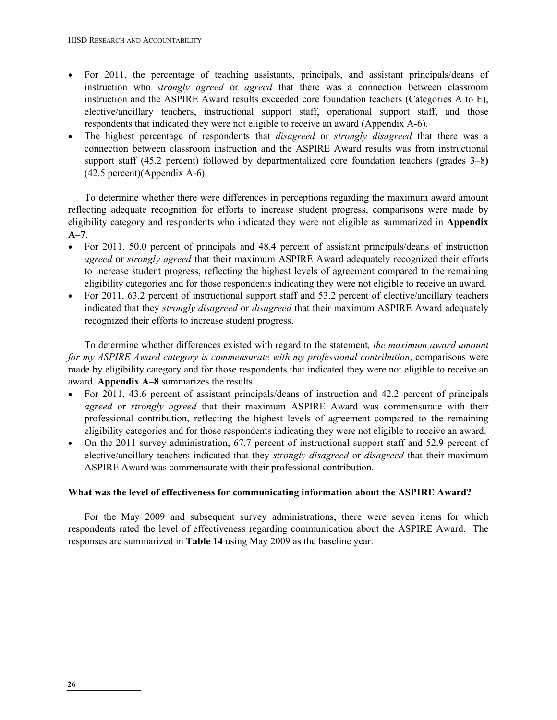- For 2011, the percentage of teaching assistants, principals, and assistant principals/deans of instruction who *strongly agreed* or *agreed* that there was a connection between classroom instruction and the ASPIRE Award results exceeded core foundation teachers (Categories A to E), elective/ancillary teachers, instructional support staff, operational support staff, and those respondents that indicated they were not eligible to receive an award (Appendix A-6).
- The highest percentage of respondents that *disagreed* or *strongly disagreed* that there was a connection between classroom instruction and the ASPIRE Award results was from instructional support staff (45.2 percent) followed by departmentalized core foundation teachers (grades 3–8**)** (42.5 percent)(Appendix A-6).

To determine whether there were differences in perceptions regarding the maximum award amount reflecting adequate recognition for efforts to increase student progress, comparisons were made by eligibility category and respondents who indicated they were not eligible as summarized in **Appendix A–7**.

- For 2011, 50.0 percent of principals and 48.4 percent of assistant principals/deans of instruction *agreed* or *strongly agreed* that their maximum ASPIRE Award adequately recognized their efforts to increase student progress, reflecting the highest levels of agreement compared to the remaining eligibility categories and for those respondents indicating they were not eligible to receive an award.
- For 2011, 63.2 percent of instructional support staff and 53.2 percent of elective/ancillary teachers indicated that they *strongly disagreed* or *disagreed* that their maximum ASPIRE Award adequately recognized their efforts to increase student progress.

To determine whether differences existed with regard to the statement*, the maximum award amount for my ASPIRE Award category is commensurate with my professional contribution*, comparisons were made by eligibility category and for those respondents that indicated they were not eligible to receive an award. **Appendix A–8** summarizes the results.

- For 2011, 43.6 percent of assistant principals/deans of instruction and 42.2 percent of principals *agreed* or *strongly agreed* that their maximum ASPIRE Award was commensurate with their professional contribution, reflecting the highest levels of agreement compared to the remaining eligibility categories and for those respondents indicating they were not eligible to receive an award.
- On the 2011 survey administration, 67.7 percent of instructional support staff and 52.9 percent of elective/ancillary teachers indicated that they *strongly disagreed* or *disagreed* that their maximum ASPIRE Award was commensurate with their professional contribution.

#### **What was the level of effectiveness for communicating information about the ASPIRE Award?**

For the May 2009 and subsequent survey administrations, there were seven items for which respondents rated the level of effectiveness regarding communication about the ASPIRE Award. The responses are summarized in **Table 14** using May 2009 as the baseline year.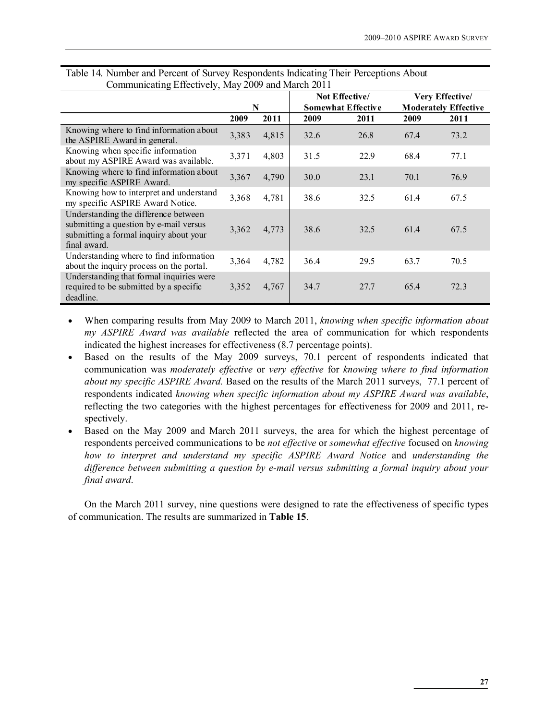|                                                                                                                                          |       |       |      | Not Effective/            | Very Effective/             |      |  |
|------------------------------------------------------------------------------------------------------------------------------------------|-------|-------|------|---------------------------|-----------------------------|------|--|
|                                                                                                                                          | N     |       |      | <b>Somewhat Effective</b> | <b>Moderately Effective</b> |      |  |
|                                                                                                                                          | 2009  | 2011  | 2009 | 2011                      | 2009                        | 2011 |  |
| Knowing where to find information about<br>the ASPIRE Award in general.                                                                  | 3,383 | 4,815 | 32.6 | 26.8                      | 67.4                        | 73.2 |  |
| Knowing when specific information<br>about my ASPIRE Award was available.                                                                | 3,371 | 4,803 | 31.5 | 22.9                      | 68.4                        | 77.1 |  |
| Knowing where to find information about<br>my specific ASPIRE Award.                                                                     | 3,367 | 4,790 | 30.0 | 23.1                      | 70.1                        | 76.9 |  |
| Knowing how to interpret and understand<br>my specific ASPIRE Award Notice.                                                              | 3,368 | 4,781 | 38.6 | 32.5                      | 61.4                        | 67.5 |  |
| Understanding the difference between<br>submitting a question by e-mail versus<br>submitting a formal inquiry about your<br>final award. | 3,362 | 4,773 | 38.6 | 32.5                      | 61.4                        | 67.5 |  |
| Understanding where to find information<br>about the inquiry process on the portal.                                                      | 3,364 | 4,782 | 36.4 | 29.5                      | 63.7                        | 70.5 |  |
| Understanding that formal inquiries were<br>required to be submitted by a specific<br>deadline.                                          | 3,352 | 4,767 | 34.7 | 27.7                      | 65.4                        | 72.3 |  |

Table 14. Number and Percent of Survey Respondents Indicating Their Perceptions About Communicating Effectively, May 2009 and March 2011

- When comparing results from May 2009 to March 2011, *knowing when specific information about my ASPIRE Award was available* reflected the area of communication for which respondents indicated the highest increases for effectiveness (8.7 percentage points).
- Based on the results of the May 2009 surveys, 70.1 percent of respondents indicated that communication was *moderately effective* or *very effective* for *knowing where to find information about my specific ASPIRE Award.* Based on the results of the March 2011 surveys, 77.1 percent of respondents indicated *knowing when specific information about my ASPIRE Award was available*, reflecting the two categories with the highest percentages for effectiveness for 2009 and 2011, respectively.
- Based on the May 2009 and March 2011 surveys, the area for which the highest percentage of respondents perceived communications to be *not effective* or *somewhat effective* focused on *knowing how to interpret and understand my specific ASPIRE Award Notice* and *understanding the difference between submitting a question by e-mail versus submitting a formal inquiry about your final award*.

On the March 2011 survey, nine questions were designed to rate the effectiveness of specific types of communication. The results are summarized in **Table 15**.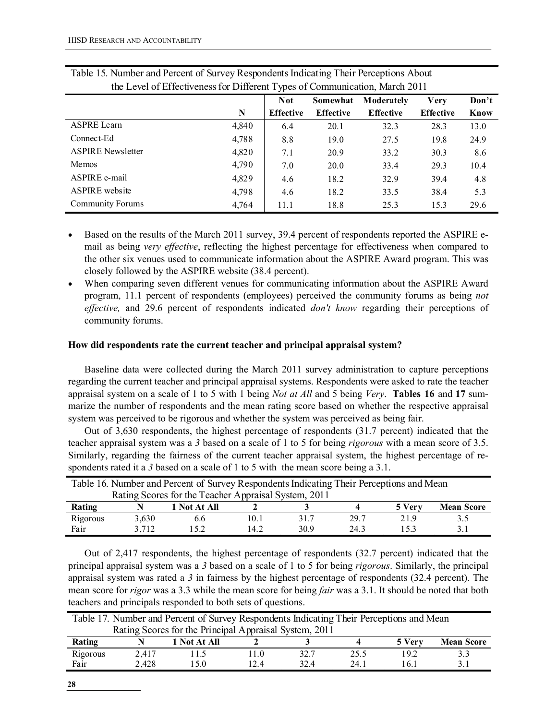| the Level of Effectiveness for Different Types of Communication, March 2011 |       |                  |                  |                  |                  |       |  |  |  |  |  |  |
|-----------------------------------------------------------------------------|-------|------------------|------------------|------------------|------------------|-------|--|--|--|--|--|--|
|                                                                             |       | <b>Not</b>       | Somewhat         | Moderately       | Very             | Don't |  |  |  |  |  |  |
|                                                                             | N     | <b>Effective</b> | <b>Effective</b> | <b>Effective</b> | <b>Effective</b> | Know  |  |  |  |  |  |  |
| <b>ASPRE Learn</b>                                                          | 4,840 | 6.4              | 20.1             | 32.3             | 28.3             | 13.0  |  |  |  |  |  |  |
| Connect-Ed                                                                  | 4,788 | 8.8              | 19.0             | 27.5             | 19.8             | 24.9  |  |  |  |  |  |  |
| <b>ASPIRE Newsletter</b>                                                    | 4,820 | 7.1              | 20.9             | 33.2             | 30.3             | 8.6   |  |  |  |  |  |  |
| Memos                                                                       | 4,790 | 7.0              | 20.0             | 33.4             | 29.3             | 10.4  |  |  |  |  |  |  |
| ASPIRE e-mail                                                               | 4,829 | 4.6              | 18.2             | 32.9             | 39.4             | 4.8   |  |  |  |  |  |  |
| <b>ASPIRE</b> website                                                       | 4,798 | 4.6              | 18.2             | 33.5             | 38.4             | 5.3   |  |  |  |  |  |  |
| <b>Community Forums</b>                                                     | 4,764 | 11.1             | 18.8             | 25.3             | 15.3             | 29.6  |  |  |  |  |  |  |

| Table 15. Number and Percent of Survey Respondents Indicating Their Perceptions About |  |
|---------------------------------------------------------------------------------------|--|
| the Level of Effectiveness for Different Types of Communication, March 2011           |  |

- Based on the results of the March 2011 survey, 39.4 percent of respondents reported the ASPIRE email as being *very effective*, reflecting the highest percentage for effectiveness when compared to the other six venues used to communicate information about the ASPIRE Award program. This was closely followed by the ASPIRE website (38.4 percent).
- When comparing seven different venues for communicating information about the ASPIRE Award program, 11.1 percent of respondents (employees) perceived the community forums as being *not effective,* and 29.6 percent of respondents indicated *don't know* regarding their perceptions of community forums.

## **How did respondents rate the current teacher and principal appraisal system?**

Baseline data were collected during the March 2011 survey administration to capture perceptions regarding the current teacher and principal appraisal systems. Respondents were asked to rate the teacher appraisal system on a scale of 1 to 5 with 1 being *Not at All* and 5 being *Very*. **Tables 16** and **17** summarize the number of respondents and the mean rating score based on whether the respective appraisal system was perceived to be rigorous and whether the system was perceived as being fair.

Out of 3,630 respondents, the highest percentage of respondents (31.7 percent) indicated that the teacher appraisal system was a *3* based on a scale of 1 to 5 for being *rigorous* with a mean score of 3.5. Similarly, regarding the fairness of the current teacher appraisal system, the highest percentage of respondents rated it a *3* based on a scale of 1 to 5 with the mean score being a 3.1.

| Table 16. Number and Percent of Survey Respondents Indicating Their Perceptions and Mean |       |              |      |      |      |        |                   |  |  |  |
|------------------------------------------------------------------------------------------|-------|--------------|------|------|------|--------|-------------------|--|--|--|
| Rating Scores for the Teacher Appraisal System, 2011                                     |       |              |      |      |      |        |                   |  |  |  |
| Rating                                                                                   |       | 1 Not At All |      |      |      | 5 Very | <b>Mean Score</b> |  |  |  |
| Rigorous                                                                                 | 3,630 | 6.6          | 10.1 | 31.7 | 29.7 | 21.9   | 3.5               |  |  |  |
| Fair                                                                                     | 3.712 |              | 14 2 | 30.9 | 243  | 3 ج ر  |                   |  |  |  |

Out of 2,417 respondents, the highest percentage of respondents (32.7 percent) indicated that the principal appraisal system was a *3* based on a scale of 1 to 5 for being *rigorous*. Similarly, the principal appraisal system was rated a *3* in fairness by the highest percentage of respondents (32.4 percent). The mean score for *rigor* was a 3.3 while the mean score for being *fair* was a 3.1. It should be noted that both teachers and principals responded to both sets of questions.

| Table 17. Number and Percent of Survey Respondents Indicating Their Perceptions and Mean |       |              |      |      |      |        |                   |  |  |  |
|------------------------------------------------------------------------------------------|-------|--------------|------|------|------|--------|-------------------|--|--|--|
| Rating Scores for the Principal Appraisal System, 2011                                   |       |              |      |      |      |        |                   |  |  |  |
| Rating                                                                                   |       | 1 Not At All |      |      |      | 5 Very | <b>Mean Score</b> |  |  |  |
| Rigorous                                                                                 | 2.417 | LL 5         | 10   | 32.7 | 25.5 | 192    | 3.3               |  |  |  |
| Fair                                                                                     | 2.428 | 50           | 12 4 | 32.4 | 24 1 | 16.1   |                   |  |  |  |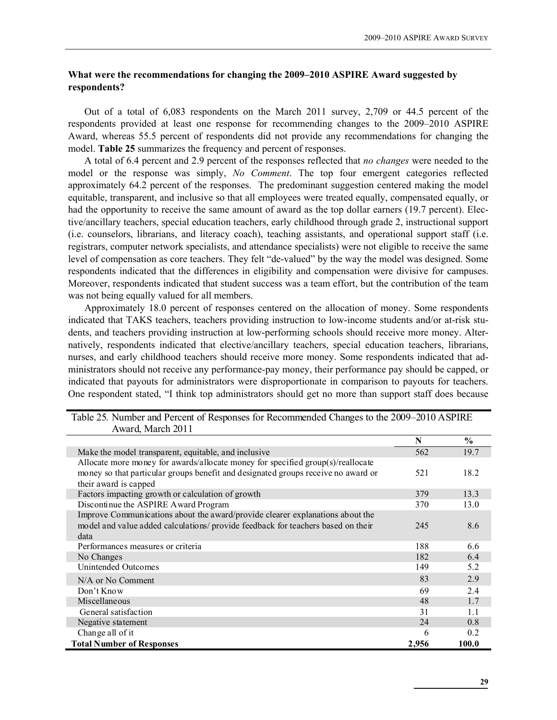## **What were the recommendations for changing the 2009–2010 ASPIRE Award suggested by respondents?**

Out of a total of 6,083 respondents on the March 2011 survey, 2,709 or 44.5 percent of the respondents provided at least one response for recommending changes to the 2009–2010 ASPIRE Award, whereas 55.5 percent of respondents did not provide any recommendations for changing the model. **Table 25** summarizes the frequency and percent of responses.

A total of 6.4 percent and 2.9 percent of the responses reflected that *no changes* were needed to the model or the response was simply, *No Comment*. The top four emergent categories reflected approximately 64.2 percent of the responses. The predominant suggestion centered making the model equitable, transparent, and inclusive so that all employees were treated equally, compensated equally, or had the opportunity to receive the same amount of award as the top dollar earners (19.7 percent). Elective/ancillary teachers, special education teachers, early childhood through grade 2, instructional support (i.e. counselors, librarians, and literacy coach), teaching assistants, and operational support staff (i.e. registrars, computer network specialists, and attendance specialists) were not eligible to receive the same level of compensation as core teachers. They felt "de-valued" by the way the model was designed. Some respondents indicated that the differences in eligibility and compensation were divisive for campuses. Moreover, respondents indicated that student success was a team effort, but the contribution of the team was not being equally valued for all members.

Approximately 18.0 percent of responses centered on the allocation of money. Some respondents indicated that TAKS teachers, teachers providing instruction to low-income students and/or at-risk students, and teachers providing instruction at low-performing schools should receive more money. Alternatively, respondents indicated that elective/ancillary teachers, special education teachers, librarians, nurses, and early childhood teachers should receive more money. Some respondents indicated that administrators should not receive any performance-pay money, their performance pay should be capped, or indicated that payouts for administrators were disproportionate in comparison to payouts for teachers. One respondent stated, "I think top administrators should get no more than support staff does because

| $1$ in the set of $\mu$ in $\mu$ is $\mu$ in $\mu$                                |       |               |
|-----------------------------------------------------------------------------------|-------|---------------|
|                                                                                   | N     | $\frac{6}{6}$ |
| Make the model transparent, equitable, and inclusive                              | 562   | 19.7          |
| Allocate more money for awards/allocate money for specified group(s)/reallocate   |       |               |
| money so that particular groups benefit and designated groups receive no award or | 521   | 18.2          |
| their award is capped                                                             |       |               |
| Factors impacting growth or calculation of growth                                 | 379   | 13.3          |
| Discontinue the ASPIRE A ward Program                                             | 370   | 13.0          |
| Improve Communications about the award/provide clearer explanations about the     |       |               |
| model and value added calculations/ provide feedback for teachers based on their  | 245   | 8.6           |
| data                                                                              |       |               |
| Performances measures or criteria                                                 | 188   | 6.6           |
| No Changes                                                                        | 182   | 6.4           |
| Unintended Outcomes                                                               | 149   | 5.2           |
| $N/A$ or $No$ Comment                                                             | 83    | 2.9           |
| Don't Know                                                                        | 69    | 2.4           |
| Miscellaneous                                                                     | 48    | 1.7           |
| General satisfaction                                                              | 31    | 1.1           |
| Negative statement                                                                | 24    | 0.8           |
| Change all of it                                                                  | 6     | 0.2           |
| <b>Total Number of Responses</b>                                                  | 2,956 | 100.0         |

|                   | Table 25. Number and Percent of Responses for Recommended Changes to the 2009–2010 ASPIRE |
|-------------------|-------------------------------------------------------------------------------------------|
| Award, March 2011 |                                                                                           |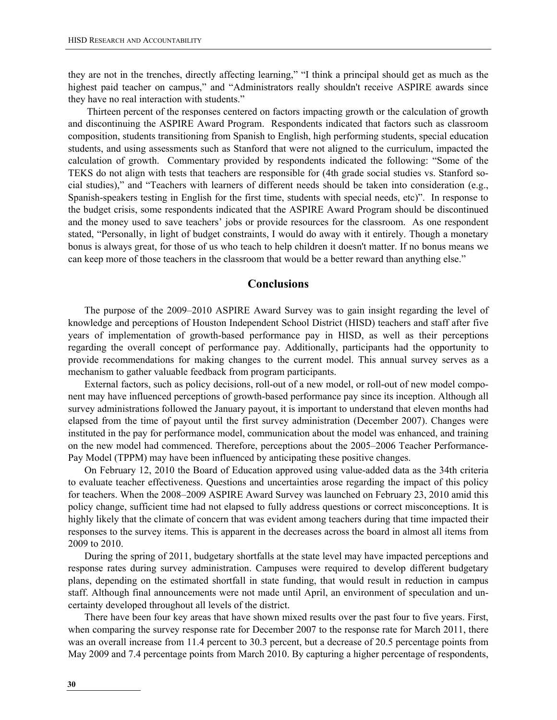they are not in the trenches, directly affecting learning," "I think a principal should get as much as the highest paid teacher on campus," and "Administrators really shouldn't receive ASPIRE awards since they have no real interaction with students."

 Thirteen percent of the responses centered on factors impacting growth or the calculation of growth and discontinuing the ASPIRE Award Program. Respondents indicated that factors such as classroom composition, students transitioning from Spanish to English, high performing students, special education students, and using assessments such as Stanford that were not aligned to the curriculum, impacted the calculation of growth. Commentary provided by respondents indicated the following: "Some of the TEKS do not align with tests that teachers are responsible for (4th grade social studies vs. Stanford social studies)," and "Teachers with learners of different needs should be taken into consideration (e.g., Spanish-speakers testing in English for the first time, students with special needs, etc)". In response to the budget crisis, some respondents indicated that the ASPIRE Award Program should be discontinued and the money used to save teachers' jobs or provide resources for the classroom. As one respondent stated, "Personally, in light of budget constraints, I would do away with it entirely. Though a monetary bonus is always great, for those of us who teach to help children it doesn't matter. If no bonus means we can keep more of those teachers in the classroom that would be a better reward than anything else."

## **Conclusions**

The purpose of the 2009–2010 ASPIRE Award Survey was to gain insight regarding the level of knowledge and perceptions of Houston Independent School District (HISD) teachers and staff after five years of implementation of growth-based performance pay in HISD, as well as their perceptions regarding the overall concept of performance pay. Additionally, participants had the opportunity to provide recommendations for making changes to the current model. This annual survey serves as a mechanism to gather valuable feedback from program participants.

External factors, such as policy decisions, roll-out of a new model, or roll-out of new model component may have influenced perceptions of growth-based performance pay since its inception. Although all survey administrations followed the January payout, it is important to understand that eleven months had elapsed from the time of payout until the first survey administration (December 2007). Changes were instituted in the pay for performance model, communication about the model was enhanced, and training on the new model had commenced. Therefore, perceptions about the 2005–2006 Teacher Performance-Pay Model (TPPM) may have been influenced by anticipating these positive changes.

On February 12, 2010 the Board of Education approved using value-added data as the 34th criteria to evaluate teacher effectiveness. Questions and uncertainties arose regarding the impact of this policy for teachers. When the 2008–2009 ASPIRE Award Survey was launched on February 23, 2010 amid this policy change, sufficient time had not elapsed to fully address questions or correct misconceptions. It is highly likely that the climate of concern that was evident among teachers during that time impacted their responses to the survey items. This is apparent in the decreases across the board in almost all items from 2009 to 2010.

During the spring of 2011, budgetary shortfalls at the state level may have impacted perceptions and response rates during survey administration. Campuses were required to develop different budgetary plans, depending on the estimated shortfall in state funding, that would result in reduction in campus staff. Although final announcements were not made until April, an environment of speculation and uncertainty developed throughout all levels of the district.

There have been four key areas that have shown mixed results over the past four to five years. First, when comparing the survey response rate for December 2007 to the response rate for March 2011, there was an overall increase from 11.4 percent to 30.3 percent, but a decrease of 20.5 percentage points from May 2009 and 7.4 percentage points from March 2010. By capturing a higher percentage of respondents,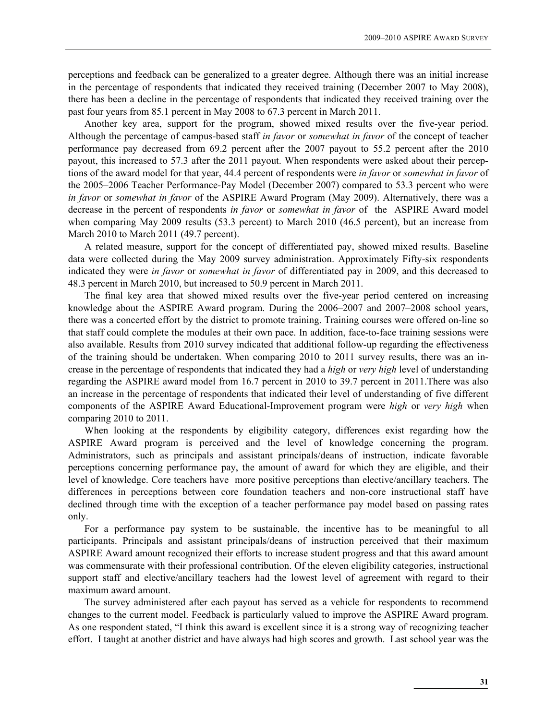perceptions and feedback can be generalized to a greater degree. Although there was an initial increase in the percentage of respondents that indicated they received training (December 2007 to May 2008), there has been a decline in the percentage of respondents that indicated they received training over the past four years from 85.1 percent in May 2008 to 67.3 percent in March 2011.

Another key area, support for the program, showed mixed results over the five-year period. Although the percentage of campus-based staff *in favor* or *somewhat in favor* of the concept of teacher performance pay decreased from 69.2 percent after the 2007 payout to 55.2 percent after the 2010 payout, this increased to 57.3 after the 2011 payout. When respondents were asked about their perceptions of the award model for that year, 44.4 percent of respondents were *in favor* or *somewhat in favor* of the 2005–2006 Teacher Performance-Pay Model (December 2007) compared to 53.3 percent who were *in favor* or *somewhat in favor* of the ASPIRE Award Program (May 2009). Alternatively, there was a decrease in the percent of respondents *in favor* or *somewhat in favor* of the ASPIRE Award model when comparing May 2009 results (53.3 percent) to March 2010 (46.5 percent), but an increase from March 2010 to March 2011 (49.7 percent).

A related measure, support for the concept of differentiated pay, showed mixed results. Baseline data were collected during the May 2009 survey administration. Approximately Fifty-six respondents indicated they were *in favor* or *somewhat in favor* of differentiated pay in 2009, and this decreased to 48.3 percent in March 2010, but increased to 50.9 percent in March 2011.

The final key area that showed mixed results over the five-year period centered on increasing knowledge about the ASPIRE Award program. During the 2006–2007 and 2007–2008 school years, there was a concerted effort by the district to promote training. Training courses were offered on-line so that staff could complete the modules at their own pace. In addition, face-to-face training sessions were also available. Results from 2010 survey indicated that additional follow-up regarding the effectiveness of the training should be undertaken. When comparing 2010 to 2011 survey results, there was an increase in the percentage of respondents that indicated they had a *high* or *very high* level of understanding regarding the ASPIRE award model from 16.7 percent in 2010 to 39.7 percent in 2011.There was also an increase in the percentage of respondents that indicated their level of understanding of five different components of the ASPIRE Award Educational-Improvement program were *high* or *very high* when comparing 2010 to 2011.

When looking at the respondents by eligibility category, differences exist regarding how the ASPIRE Award program is perceived and the level of knowledge concerning the program. Administrators, such as principals and assistant principals/deans of instruction, indicate favorable perceptions concerning performance pay, the amount of award for which they are eligible, and their level of knowledge. Core teachers have more positive perceptions than elective/ancillary teachers. The differences in perceptions between core foundation teachers and non-core instructional staff have declined through time with the exception of a teacher performance pay model based on passing rates only.

For a performance pay system to be sustainable, the incentive has to be meaningful to all participants. Principals and assistant principals/deans of instruction perceived that their maximum ASPIRE Award amount recognized their efforts to increase student progress and that this award amount was commensurate with their professional contribution. Of the eleven eligibility categories, instructional support staff and elective/ancillary teachers had the lowest level of agreement with regard to their maximum award amount.

The survey administered after each payout has served as a vehicle for respondents to recommend changes to the current model. Feedback is particularly valued to improve the ASPIRE Award program. As one respondent stated, "I think this award is excellent since it is a strong way of recognizing teacher effort. I taught at another district and have always had high scores and growth. Last school year was the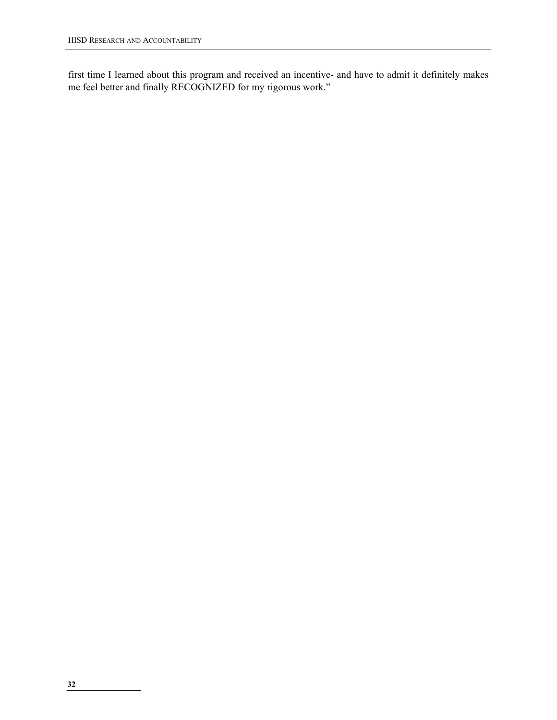first time I learned about this program and received an incentive- and have to admit it definitely makes me feel better and finally RECOGNIZED for my rigorous work."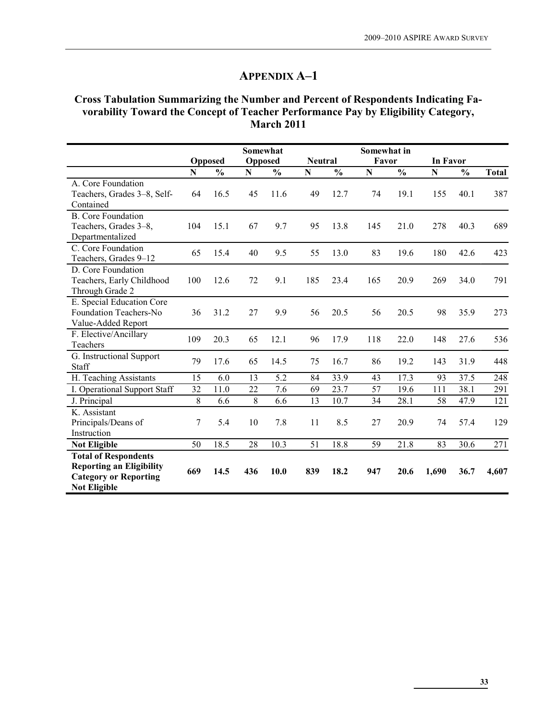## **Cross Tabulation Summarizing the Number and Percent of Respondents Indicating Favorability Toward the Concept of Teacher Performance Pay by Eligibility Category, March 2011**

|                                                                                                                       | Opposed     |               | Somewhat<br><b>Neutral</b><br><b>Opposed</b> |               |             |               | Somewhat in<br>Favor |               | <b>In Favor</b> |               |              |
|-----------------------------------------------------------------------------------------------------------------------|-------------|---------------|----------------------------------------------|---------------|-------------|---------------|----------------------|---------------|-----------------|---------------|--------------|
|                                                                                                                       | $\mathbf N$ | $\frac{0}{0}$ | ${\bf N}$                                    | $\frac{0}{0}$ | $\mathbf N$ | $\frac{0}{0}$ | ${\bf N}$            | $\frac{0}{0}$ | N               | $\frac{0}{0}$ | <b>Total</b> |
| A. Core Foundation<br>Teachers, Grades 3-8, Self-<br>Contained                                                        | 64          | 16.5          | 45                                           | 11.6          | 49          | 12.7          | 74                   | 19.1          | 155             | 40.1          | 387          |
| <b>B.</b> Core Foundation<br>Teachers, Grades 3-8,<br>Departmentalized                                                | 104         | 15.1          | 67                                           | 9.7           | 95          | 13.8          | 145                  | 21.0          | 278             | 40.3          | 689          |
| C. Core Foundation<br>Teachers, Grades 9-12                                                                           | 65          | 15.4          | 40                                           | 9.5           | 55          | 13.0          | 83                   | 19.6          | 180             | 42.6          | 423          |
| D. Core Foundation<br>Teachers, Early Childhood<br>Through Grade 2                                                    | 100         | 12.6          | 72                                           | 9.1           | 185         | 23.4          | 165                  | 20.9          | 269             | 34.0          | 791          |
| E. Special Education Core<br>Foundation Teachers-No<br>Value-Added Report                                             | 36          | 31.2          | 27                                           | 9.9           | 56          | 20.5          | 56                   | 20.5          | 98              | 35.9          | 273          |
| F. Elective/Ancillary<br>Teachers                                                                                     | 109         | 20.3          | 65                                           | 12.1          | 96          | 17.9          | 118                  | 22.0          | 148             | 27.6          | 536          |
| G. Instructional Support<br>Staff                                                                                     | 79          | 17.6          | 65                                           | 14.5          | 75          | 16.7          | 86                   | 19.2          | 143             | 31.9          | 448          |
| H. Teaching Assistants                                                                                                | 15          | 6.0           | 13                                           | 5.2           | 84          | 33.9          | 43                   | 17.3          | 93              | 37.5          | 248          |
| I. Operational Support Staff                                                                                          | 32          | 11.0          | 22                                           | 7.6           | 69          | 23.7          | 57                   | 19.6          | 111             | 38.1          | 291          |
| J. Principal                                                                                                          | 8           | 6.6           | $\overline{8}$                               | 6.6           | 13          | 10.7          | 34                   | 28.1          | 58              | 47.9          | 121          |
| K. Assistant<br>Principals/Deans of<br>Instruction                                                                    | 7           | 5.4           | 10                                           | 7.8           | 11          | 8.5           | 27                   | 20.9          | 74              | 57.4          | 129          |
| <b>Not Eligible</b>                                                                                                   | 50          | 18.5          | 28                                           | 10.3          | 51          | 18.8          | 59                   | 21.8          | 83              | 30.6          | 271          |
| <b>Total of Respondents</b><br><b>Reporting an Eligibility</b><br><b>Category or Reporting</b><br><b>Not Eligible</b> | 669         | 14.5          | 436                                          | 10.0          | 839         | 18.2          | 947                  | 20.6          | 1,690           | 36.7          | 4,607        |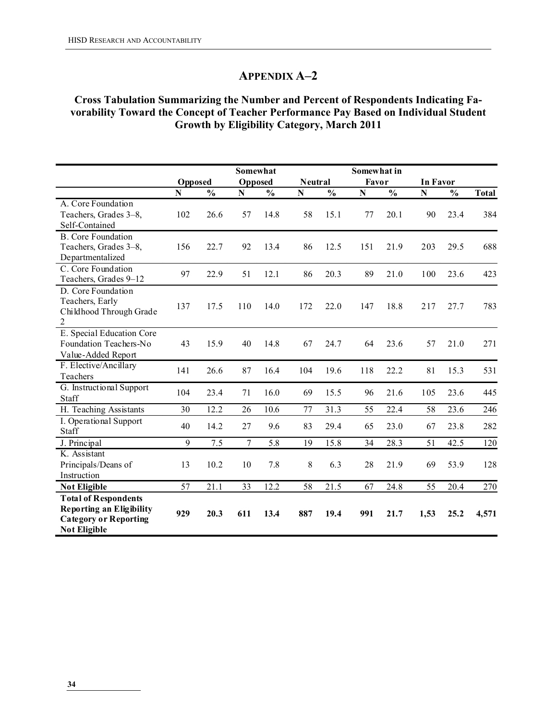## **Cross Tabulation Summarizing the Number and Percent of Respondents Indicating Favorability Toward the Concept of Teacher Performance Pay Based on Individual Student Growth by Eligibility Category, March 2011**

|                                 |                    |               | Somewhat       |               |                    |               | Somewhat in  |               |                 |               |              |
|---------------------------------|--------------------|---------------|----------------|---------------|--------------------|---------------|--------------|---------------|-----------------|---------------|--------------|
|                                 | Opposed            |               | Opposed        |               | Neutral            |               | <b>Favor</b> |               | <b>In Favor</b> |               |              |
|                                 | $\overline{\bf N}$ | $\frac{0}{0}$ | N              | $\frac{0}{0}$ | $\overline{\bf N}$ | $\frac{1}{2}$ | $\mathbf N$  | $\frac{0}{0}$ | $\mathbf N$     | $\frac{0}{0}$ | <b>Total</b> |
| A. Core Foundation              |                    |               |                |               |                    |               |              |               |                 |               |              |
| Teachers, Grades 3-8,           | 102                | 26.6          | 57             | 14.8          | 58                 | 15.1          | 77           | 20.1          | 90              | 23.4          | 384          |
| Self-Contained                  |                    |               |                |               |                    |               |              |               |                 |               |              |
| <b>B.</b> Core Foundation       |                    |               |                |               |                    |               |              |               |                 |               |              |
| Teachers, Grades 3-8,           | 156                | 22.7          | 92             | 13.4          | 86                 | 12.5          | 151          | 21.9          | 203             | 29.5          | 688          |
| Departmentalized                |                    |               |                |               |                    |               |              |               |                 |               |              |
| C. Core Foundation              | 97                 | 22.9          | 51             | 12.1          | 86                 | 20.3          | 89           | 21.0          | 100             | 23.6          | 423          |
| Teachers, Grades 9-12           |                    |               |                |               |                    |               |              |               |                 |               |              |
| D. Core Foundation              |                    |               |                |               |                    |               |              |               |                 |               |              |
| Teachers, Early                 | 137                | 17.5          | 110            | 14.0          | 172                | 22.0          | 147          | 18.8          | 217             | 27.7          | 783          |
| Childhood Through Grade         |                    |               |                |               |                    |               |              |               |                 |               |              |
| $\overline{2}$                  |                    |               |                |               |                    |               |              |               |                 |               |              |
| E. Special Education Core       |                    |               |                |               |                    |               |              |               |                 |               |              |
| Foundation Teachers-No          | 43                 | 15.9          | 40             | 14.8          | 67                 | 24.7          | 64           | 23.6          | 57              | 21.0          | 271          |
| Value-Added Report              |                    |               |                |               |                    |               |              |               |                 |               |              |
| F. Elective/Ancillary           | 141                | 26.6          | 87             | 16.4          | 104                | 19.6          | 118          | 22.2          | 81              | 15.3          | 531          |
| Teachers                        |                    |               |                |               |                    |               |              |               |                 |               |              |
| G. Instructional Support        | 104                | 23.4          | 71             | 16.0          | 69                 | 15.5          | 96           | 21.6          | 105             | 23.6          | 445          |
| Staff                           |                    |               |                |               |                    |               |              |               |                 |               |              |
| H. Teaching Assistants          | 30                 | 12.2          | 26             | 10.6          | 77                 | 31.3          | 55           | 22.4          | 58              | 23.6          | 246          |
| I. Operational Support          | 40                 | 14.2          | 27             | 9.6           | 83                 | 29.4          | 65           | 23.0          | 67              | 23.8          | 282          |
| Staff                           |                    |               |                |               |                    |               |              |               |                 |               |              |
| J. Principal                    | 9                  | 7.5           | $\overline{7}$ | 5.8           | 19                 | 15.8          | 34           | 28.3          | 51              | 42.5          | 120          |
| K. Assistant                    |                    |               |                |               |                    |               |              |               |                 |               |              |
| Principals/Deans of             | 13                 | 10.2          | 10             | 7.8           | 8                  | 6.3           | 28           | 21.9          | 69              | 53.9          | 128          |
| Instruction                     |                    |               |                |               |                    |               |              |               |                 |               |              |
| <b>Not Eligible</b>             | 57                 | 21.1          | 33             | 12.2          | 58                 | 21.5          | 67           | 24.8          | 55              | 20.4          | 270          |
| <b>Total of Respondents</b>     |                    |               |                |               |                    |               |              |               |                 |               |              |
| <b>Reporting an Eligibility</b> | 929                | 20.3          | 611            | 13.4          | 887                | 19.4          | 991          | 21.7          | 1,53            | 25.2          | 4,571        |
| <b>Category or Reporting</b>    |                    |               |                |               |                    |               |              |               |                 |               |              |
| <b>Not Eligible</b>             |                    |               |                |               |                    |               |              |               |                 |               |              |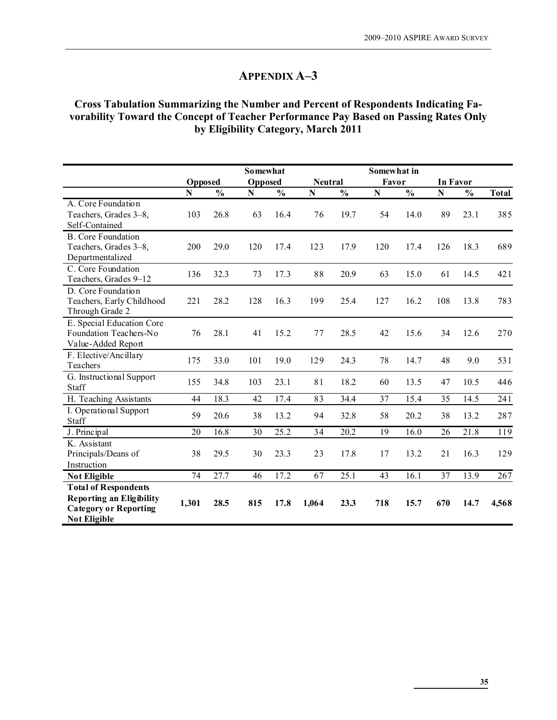## **Cross Tabulation Summarizing the Number and Percent of Respondents Indicating Favorability Toward the Concept of Teacher Performance Pay Based on Passing Rates Only by Eligibility Category, March 2011**

|                                                                                                                       |                 |               | <b>Somewhat</b> |                   |                 |                   | Somewhat in |               |                 |               |                  |
|-----------------------------------------------------------------------------------------------------------------------|-----------------|---------------|-----------------|-------------------|-----------------|-------------------|-------------|---------------|-----------------|---------------|------------------|
|                                                                                                                       | Opposed         |               | <b>Opposed</b>  |                   | <b>Neutral</b>  |                   | Favor       |               | <b>In Favor</b> |               |                  |
|                                                                                                                       | N               | $\frac{0}{0}$ | ${\bf N}$       | $\frac{0}{0}$     | ${\bf N}$       | $\frac{0}{0}$     | ${\bf N}$   | $\frac{0}{0}$ | $\mathbf N$     | $\frac{0}{0}$ | <b>Total</b>     |
| A. Core Foundation                                                                                                    |                 |               |                 |                   |                 |                   |             |               |                 |               |                  |
| Teachers, Grades 3-8,<br>Self-Contained                                                                               | 103             | 26.8          | 63              | 16.4              | 76              | 19.7              | 54          | 14.0          | 89              | 23.1          | 385              |
| <b>B.</b> Core Foundation<br>Teachers, Grades 3-8,<br>Departmentalized                                                | 200             | 29.0          | 120             | 17.4              | 123             | 17.9              | 120         | 17.4          | 126             | 18.3          | 689              |
| C. Core Foundation<br>Teachers, Grades 9-12                                                                           | 136             | 32.3          | 73              | 17.3              | 88              | 20.9              | 63          | 15.0          | 61              | 14.5          | 421              |
| D. Core Foundation<br>Teachers, Early Childhood<br>Through Grade 2                                                    | 221             | 28.2          | 128             | 16.3              | 199             | 25.4              | 127         | 16.2          | 108             | 13.8          | 783              |
| E. Special Education Core<br>Foundation Teachers-No<br>Value-Added Report                                             | 76              | 28.1          | 41              | 15.2              | 77              | 28.5              | 42          | 15.6          | 34              | 12.6          | 270              |
| F. Elective/Ancillary<br>Teachers                                                                                     | 175             | 33.0          | 101             | 19.0              | 129             | 24.3              | 78          | 14.7          | 48              | 9.0           | 531              |
| G. Instructional Support<br>Staff                                                                                     | 155             | 34.8          | 103             | 23.1              | 81              | 18.2              | 60          | 13.5          | 47              | 10.5          | 446              |
| H. Teaching Assistants                                                                                                | 44              | 18.3          | 42              | 17.4              | 83              | 34.4              | 37          | 15.4          | 35              | 14.5          | 241              |
| I. Operational Support<br>Staff                                                                                       | 59              | 20.6          | 38              | 13.2              | 94              | 32.8              | 58          | 20.2          | 38              | 13.2          | 287              |
| J. Principal                                                                                                          | $\overline{20}$ | 16.8          | 30              | $\overline{25.2}$ | 34              | $\overline{20.2}$ | 19          | 16.0          | 26              | 21.8          | $\overline{119}$ |
| K. Assistant<br>Principals/Deans of<br>Instruction                                                                    | 38              | 29.5          | 30              | 23.3              | 23              | 17.8              | 17          | 13.2          | 21              | 16.3          | 129              |
| <b>Not Eligible</b>                                                                                                   | $\overline{74}$ | 27.7          | 46              | 17.2              | $\overline{67}$ | 25.1              | 43          | 16.1          | $\overline{37}$ | 13.9          | $\overline{267}$ |
| <b>Total of Respondents</b><br><b>Reporting an Eligibility</b><br><b>Category or Reporting</b><br><b>Not Eligible</b> | 1,301           | 28.5          | 815             | 17.8              | 1,064           | 23.3              | 718         | 15.7          | 670             | 14.7          | 4,568            |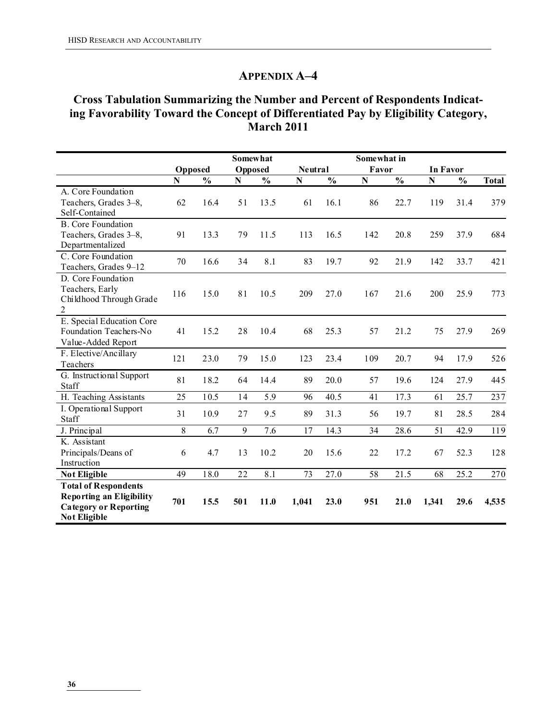# **Cross Tabulation Summarizing the Number and Percent of Respondents Indicating Favorability Toward the Concept of Differentiated Pay by Eligibility Category, March 2011**

|                                 |         |               | Somewhat  |               |         |               | Somewhat in |               |                 |               |              |
|---------------------------------|---------|---------------|-----------|---------------|---------|---------------|-------------|---------------|-----------------|---------------|--------------|
|                                 | Opposed |               | Opposed   |               | Neutral |               | Favor       |               | <b>In Favor</b> |               |              |
|                                 | N       | $\frac{0}{0}$ | ${\bf N}$ | $\frac{0}{0}$ | N       | $\frac{0}{0}$ | ${\bf N}$   | $\frac{0}{0}$ | ${\bf N}$       | $\frac{0}{0}$ | <b>Total</b> |
| A. Core Foundation              |         |               |           |               |         |               |             |               |                 |               |              |
| Teachers, Grades 3-8,           | 62      | 16.4          | 51        | 13.5          | 61      | 16.1          | 86          | 22.7          | 119             | 31.4          | 379          |
| Self-Contained                  |         |               |           |               |         |               |             |               |                 |               |              |
| <b>B.</b> Core Foundation       |         |               |           |               |         |               |             |               |                 |               |              |
| Teachers, Grades 3-8,           | 91      | 13.3          | 79        | 11.5          | 113     | 16.5          | 142         | 20.8          | 259             | 37.9          | 684          |
| Departmentalized                |         |               |           |               |         |               |             |               |                 |               |              |
| C. Core Foundation              |         |               |           |               |         |               |             |               |                 |               |              |
| Teachers, Grades 9-12           | 70      | 16.6          | 34        | 8.1           | 83      | 19.7          | 92          | 21.9          | 142             | 33.7          | 421          |
| D. Core Foundation              |         |               |           |               |         |               |             |               |                 |               |              |
| Teachers, Early                 |         |               |           |               |         |               |             |               |                 |               |              |
| Childhood Through Grade         | 116     | 15.0          | 81        | 10.5          | 209     | 27.0          | 167         | 21.6          | 200             | 25.9          | 773          |
| $\overline{2}$                  |         |               |           |               |         |               |             |               |                 |               |              |
| E. Special Education Core       |         |               |           |               |         |               |             |               |                 |               |              |
| Foundation Teachers-No          | 41      | 15.2          | 28        | 10.4          | 68      | 25.3          | 57          | 21.2          | 75              | 27.9          | 269          |
| Value-Added Report              |         |               |           |               |         |               |             |               |                 |               |              |
| F. Elective/Ancillary           | 121     | 23.0          | 79        | 15.0          | 123     | 23.4          | 109         | 20.7          | 94              | 17.9          | 526          |
| Teachers                        |         |               |           |               |         |               |             |               |                 |               |              |
| G. Instructional Support        | 81      | 18.2          | 64        | 14.4          | 89      | 20.0          | 57          | 19.6          | 124             | 27.9          | 445          |
| Staff                           |         |               |           |               |         |               |             |               |                 |               |              |
| H. Teaching Assistants          | 25      | 10.5          | 14        | 5.9           | 96      | 40.5          | 41          | 17.3          | 61              | 25.7          | 237          |
| I. Operational Support          | 31      | 10.9          |           |               |         |               |             |               |                 | 28.5          |              |
| Staff                           |         |               | 27        | 9.5           | 89      | 31.3          | 56          | 19.7          | 81              |               | 284          |
| J. Principal                    | 8       | 6.7           | 9         | 7.6           | 17      | 14.3          | 34          | 28.6          | 51              | 42.9          | 119          |
| K. Assistant                    |         |               |           |               |         |               |             |               |                 |               |              |
| Principals/Deans of             | 6       | 4.7           | 13        | 10.2          | 20      | 15.6          | 22          | 17.2          | 67              | 52.3          | 128          |
| Instruction                     |         |               |           |               |         |               |             |               |                 |               |              |
| <b>Not Eligible</b>             | 49      | 18.0          | 22        | 8.1           | 73      | 27.0          | 58          | 21.5          | 68              | 25.2          | 270          |
| <b>Total of Respondents</b>     |         |               |           |               |         |               |             |               |                 |               |              |
| <b>Reporting an Eligibility</b> | 701     | 15.5          | 501       | 11.0          | 1,041   | 23.0          | 951         | 21.0          | 1,341           | 29.6          | 4,535        |
| <b>Category or Reporting</b>    |         |               |           |               |         |               |             |               |                 |               |              |
| <b>Not Eligible</b>             |         |               |           |               |         |               |             |               |                 |               |              |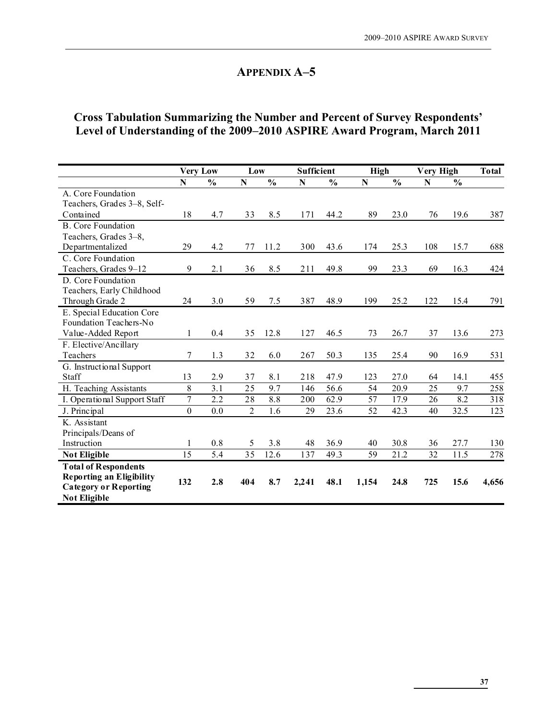# **Cross Tabulation Summarizing the Number and Percent of Survey Respondents' Level of Understanding of the 2009–2010 ASPIRE Award Program, March 2011**

|                                 | <b>Very Low</b> |                  | Low            |               | <b>Sufficient</b> | High          |       |               | <b>Very High</b> | Total         |       |
|---------------------------------|-----------------|------------------|----------------|---------------|-------------------|---------------|-------|---------------|------------------|---------------|-------|
|                                 | N               | $\frac{0}{0}$    | $\mathbf N$    | $\frac{0}{0}$ | $\mathbf N$       | $\frac{0}{0}$ | N     | $\frac{0}{0}$ | N                | $\frac{0}{0}$ |       |
| A. Core Foundation              |                 |                  |                |               |                   |               |       |               |                  |               |       |
| Teachers, Grades 3-8, Self-     |                 |                  |                |               |                   |               |       |               |                  |               |       |
| Contained                       | 18              | 4.7              | 33             | 8.5           | 171               | 44.2          | 89    | 23.0          | 76               | 19.6          | 387   |
| <b>B.</b> Core Foundation       |                 |                  |                |               |                   |               |       |               |                  |               |       |
| Teachers, Grades 3-8,           |                 |                  |                |               |                   |               |       |               |                  |               |       |
| Departmentalized                | 29              | 4.2              | 77             | 11.2          | 300               | 43.6          | 174   | 25.3          | 108              | 15.7          | 688   |
| C. Core Foundation              |                 |                  |                |               |                   |               |       |               |                  |               |       |
| Teachers, Grades 9-12           | 9               | 2.1              | 36             | 8.5           | 211               | 49.8          | 99    | 23.3          | 69               | 16.3          | 424   |
| D. Core Foundation              |                 |                  |                |               |                   |               |       |               |                  |               |       |
| Teachers, Early Childhood       |                 |                  |                |               |                   |               |       |               |                  |               |       |
| Through Grade 2                 | 24              | 3.0              | 59             | 7.5           | 387               | 48.9          | 199   | 25.2          | 122              | 15.4          | 791   |
| E. Special Education Core       |                 |                  |                |               |                   |               |       |               |                  |               |       |
| Foundation Teachers-No          |                 |                  |                |               |                   |               |       |               |                  |               |       |
| Value-Added Report              | 1               | 0.4              | 35             | 12.8          | 127               | 46.5          | 73    | 26.7          | 37               | 13.6          | 273   |
| F. Elective/Ancillary           |                 |                  |                |               |                   |               |       |               |                  |               |       |
| Teachers                        | 7               | 1.3              | 32             | 6.0           | 267               | 50.3          | 135   | 25.4          | 90               | 16.9          | 531   |
| G. Instructional Support        |                 |                  |                |               |                   |               |       |               |                  |               |       |
| Staff                           | 13              | 2.9              | 37             | 8.1           | 218               | 47.9          | 123   | 27.0          | 64               | 14.1          | 455   |
| H. Teaching Assistants          | 8               | 3.1              | 25             | 9.7           | 146               | 56.6          | 54    | 20.9          | 25               | 9.7           | 258   |
| I. Operational Support Staff    | $\overline{7}$  | $\overline{2.2}$ | 28             | 8.8           | 200               | 62.9          | 57    | 17.9          | 26               | 8.2           | 318   |
| J. Principal                    | $\overline{0}$  | 0.0              | $\overline{2}$ | 1.6           | 29                | 23.6          | 52    | 42.3          | 40               | 32.5          | 123   |
| K. Assistant                    |                 |                  |                |               |                   |               |       |               |                  |               |       |
| Principals/Deans of             |                 |                  |                |               |                   |               |       |               |                  |               |       |
| Instruction                     | 1               | 0.8              | 5              | 3.8           | 48                | 36.9          | 40    | 30.8          | 36               | 27.7          | 130   |
| <b>Not Eligible</b>             | 15              | 5.4              | 35             | 12.6          | 137               | 49.3          | 59    | 21.2          | 32               | 11.5          | 278   |
| <b>Total of Respondents</b>     |                 |                  |                |               |                   |               |       |               |                  |               |       |
| <b>Reporting an Eligibility</b> | 132             | 2.8              | 404            | 8.7           | 2,241             | 48.1          | 1,154 | 24.8          | 725              | 15.6          | 4,656 |
| <b>Category or Reporting</b>    |                 |                  |                |               |                   |               |       |               |                  |               |       |
| <b>Not Eligible</b>             |                 |                  |                |               |                   |               |       |               |                  |               |       |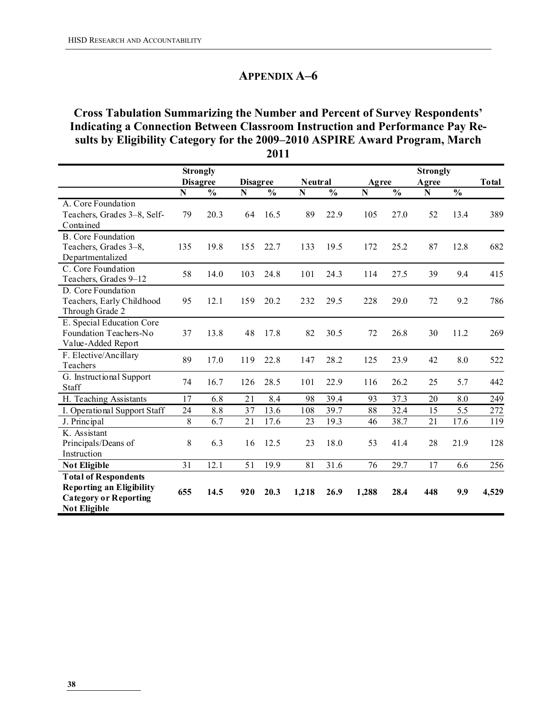# **Cross Tabulation Summarizing the Number and Percent of Survey Respondents' Indicating a Connection Between Classroom Instruction and Performance Pay Results by Eligibility Category for the 2009–2010 ASPIRE Award Program, March 2011**

|                                                                                                                       |     | <b>Strongly</b> |                 |               |         |               |       | <b>Strongly</b>          |           |               |              |
|-----------------------------------------------------------------------------------------------------------------------|-----|-----------------|-----------------|---------------|---------|---------------|-------|--------------------------|-----------|---------------|--------------|
|                                                                                                                       |     | <b>Disagree</b> | <b>Disagree</b> |               | Neutral |               | Agree |                          | Agree     |               | <b>Total</b> |
|                                                                                                                       | N   | $\frac{0}{0}$   | N               | $\frac{0}{0}$ | N       | $\frac{0}{0}$ | N     | $\overline{\frac{0}{0}}$ | ${\bf N}$ | $\frac{0}{0}$ |              |
| A. Core Foundation<br>Teachers, Grades 3-8, Self-<br>Contained                                                        | 79  | 20.3            | 64              | 16.5          | 89      | 22.9          | 105   | 27.0                     | 52        | 13.4          | 389          |
| <b>B.</b> Core Foundation<br>Teachers, Grades 3-8,<br>Departmentalized                                                | 135 | 19.8            | 155             | 22.7          | 133     | 19.5          | 172   | 25.2                     | 87        | 12.8          | 682          |
| C. Core Foundation<br>Teachers, Grades 9-12                                                                           | 58  | 14.0            | 103             | 24.8          | 101     | 24.3          | 114   | 27.5                     | 39        | 9.4           | 415          |
| D. Core Foundation<br>Teachers, Early Childhood<br>Through Grade 2                                                    | 95  | 12.1            | 159             | 20.2          | 232     | 29.5          | 228   | 29.0                     | 72        | 9.2           | 786          |
| E. Special Education Core<br>Foundation Teachers-No<br>Value-Added Report                                             | 37  | 13.8            | 48              | 17.8          | 82      | 30.5          | 72    | 26.8                     | 30        | 11.2          | 269          |
| F. Elective/Ancillary<br>Teachers                                                                                     | 89  | 17.0            | 119             | 22.8          | 147     | 28.2          | 125   | 23.9                     | 42        | 8.0           | 522          |
| G. Instructional Support<br>Staff                                                                                     | 74  | 16.7            | 126             | 28.5          | 101     | 22.9          | 116   | 26.2                     | 25        | 5.7           | 442          |
| H. Teaching Assistants                                                                                                | 17  | 6.8             | 21              | 8.4           | 98      | 39.4          | 93    | 37.3                     | 20        | 8.0           | 249          |
| I. Operational Support Staff                                                                                          | 24  | 8.8             | 37              | 13.6          | 108     | 39.7          | 88    | 32.4                     | 15        | 5.5           | 272          |
| J. Principal                                                                                                          | 8   | 6.7             | 21              | 17.6          | 23      | 19.3          | 46    | 38.7                     | 21        | 17.6          | 119          |
| K. Assistant<br>Principals/Deans of<br>Instruction                                                                    | 8   | 6.3             | 16              | 12.5          | 23      | 18.0          | 53    | 41.4                     | 28        | 21.9          | 128          |
| <b>Not Eligible</b>                                                                                                   | 31  | 12.1            | 51              | 19.9          | 81      | 31.6          | 76    | 29.7                     | 17        | 6.6           | 256          |
| <b>Total of Respondents</b><br><b>Reporting an Eligibility</b><br><b>Category or Reporting</b><br><b>Not Eligible</b> | 655 | 14.5            | 920             | 20.3          | 1,218   | 26.9          | 1,288 | 28.4                     | 448       | 9.9           | 4,529        |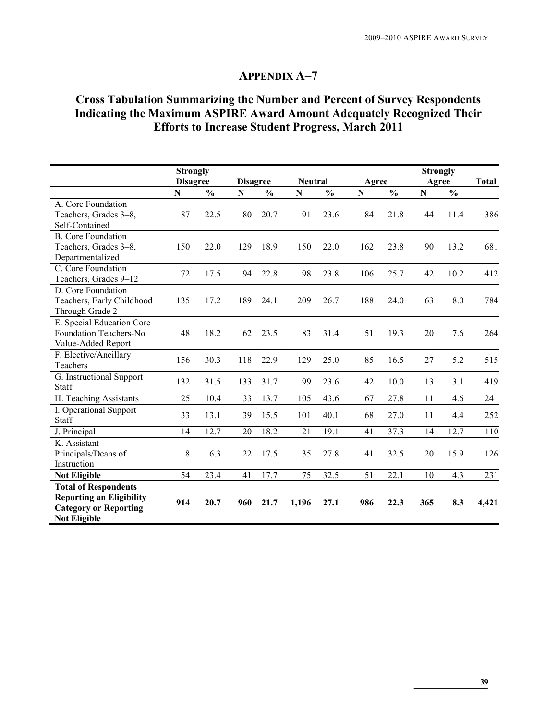# **Cross Tabulation Summarizing the Number and Percent of Survey Respondents Indicating the Maximum ASPIRE Award Amount Adequately Recognized Their Efforts to Increase Student Progress, March 2011**

|                                                                                                                       | <b>Strongly</b><br><b>Disagree</b> |               | <b>Neutral</b><br><b>Disagree</b> |               | Agree |               | <b>Strongly</b><br>Agree | <b>Total</b>  |             |               |       |
|-----------------------------------------------------------------------------------------------------------------------|------------------------------------|---------------|-----------------------------------|---------------|-------|---------------|--------------------------|---------------|-------------|---------------|-------|
|                                                                                                                       | N                                  | $\frac{0}{0}$ | ${\bf N}$                         | $\frac{0}{0}$ | N     | $\frac{0}{0}$ | ${\bf N}$                | $\frac{0}{0}$ | $\mathbf N$ | $\frac{0}{0}$ |       |
| A. Core Foundation<br>Teachers, Grades 3-8,<br>Self-Contained                                                         | 87                                 | 22.5          | 80                                | 20.7          | 91    | 23.6          | 84                       | 21.8          | 44          | 11.4          | 386   |
| <b>B.</b> Core Foundation<br>Teachers, Grades 3-8,<br>Departmentalized                                                | 150                                | 22.0          | 129                               | 18.9          | 150   | 22.0          | 162                      | 23.8          | 90          | 13.2          | 681   |
| C. Core Foundation<br>Teachers, Grades 9-12                                                                           | 72                                 | 17.5          | 94                                | 22.8          | 98    | 23.8          | 106                      | 25.7          | 42          | 10.2          | 412   |
| D. Core Foundation<br>Teachers, Early Childhood<br>Through Grade 2                                                    | 135                                | 17.2          | 189                               | 24.1          | 209   | 26.7          | 188                      | 24.0          | 63          | 8.0           | 784   |
| E. Special Education Core<br>Foundation Teachers-No<br>Value-Added Report                                             | 48                                 | 18.2          | 62                                | 23.5          | 83    | 31.4          | 51                       | 19.3          | 20          | 7.6           | 264   |
| F. Elective/Ancillary<br>Teachers                                                                                     | 156                                | 30.3          | 118                               | 22.9          | 129   | 25.0          | 85                       | 16.5          | 27          | 5.2           | 515   |
| G. Instructional Support<br>Staff                                                                                     | 132                                | 31.5          | 133                               | 31.7          | 99    | 23.6          | 42                       | 10.0          | 13          | 3.1           | 419   |
| H. Teaching Assistants                                                                                                | 25                                 | 10.4          | 33                                | 13.7          | 105   | 43.6          | 67                       | 27.8          | 11          | 4.6           | 241   |
| I. Operational Support<br>Staff                                                                                       | 33                                 | 13.1          | 39                                | 15.5          | 101   | 40.1          | 68                       | 27.0          | 11          | 4.4           | 252   |
| J. Principal                                                                                                          | 14                                 | 12.7          | 20                                | 18.2          | 21    | 19.1          | 41                       | 37.3          | 14          | 12.7          | 110   |
| K. Assistant<br>Principals/Deans of<br>Instruction                                                                    | 8                                  | 6.3           | 22                                | 17.5          | 35    | 27.8          | 41                       | 32.5          | 20          | 15.9          | 126   |
| <b>Not Eligible</b>                                                                                                   | 54                                 | 23.4          | 41                                | 17.7          | 75    | 32.5          | 51                       | 22.1          | 10          | 4.3           | 231   |
| <b>Total of Respondents</b><br><b>Reporting an Eligibility</b><br><b>Category or Reporting</b><br><b>Not Eligible</b> | 914                                | 20.7          | 960                               | 21.7          | 1,196 | 27.1          | 986                      | 22.3          | 365         | 8.3           | 4,421 |